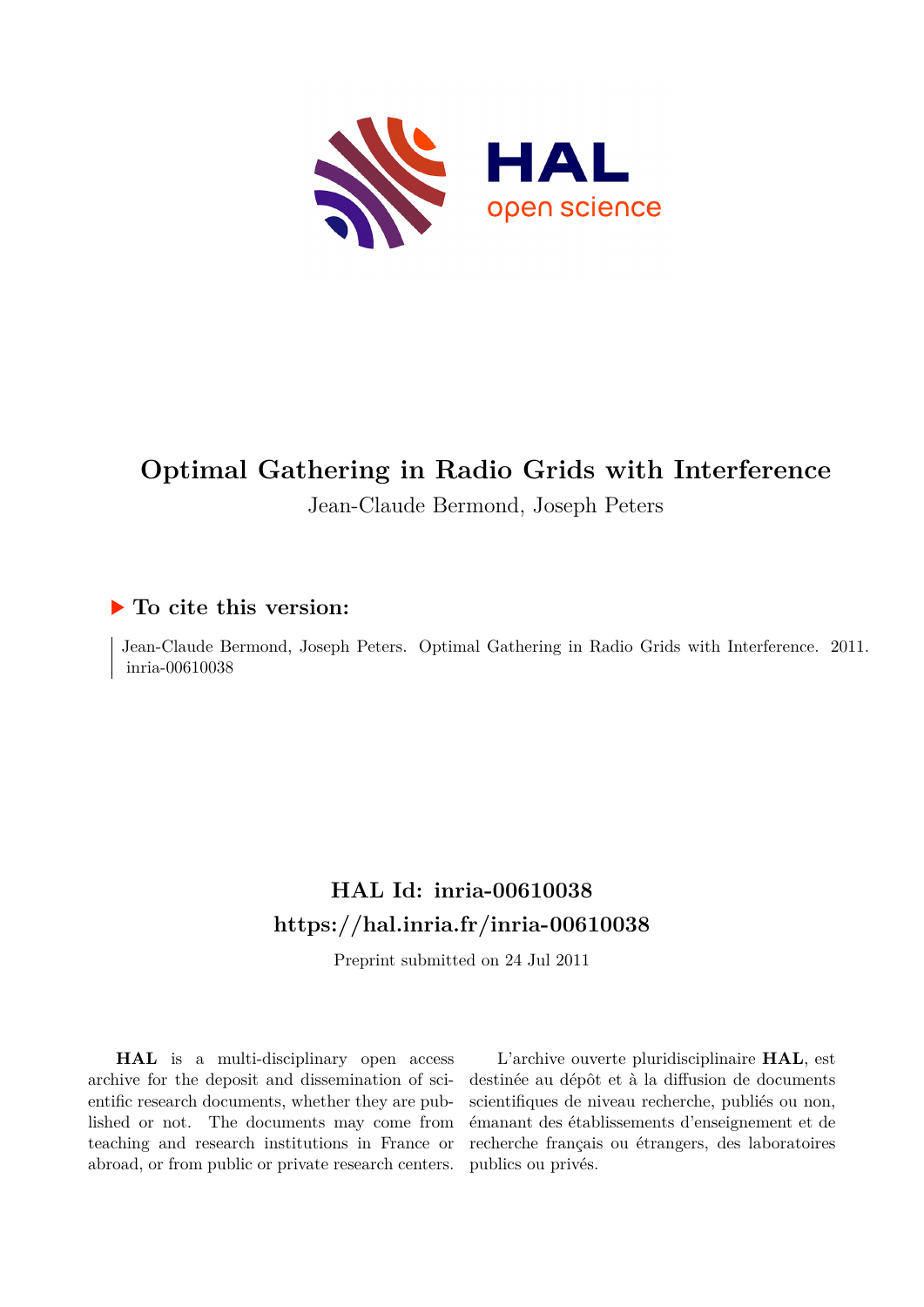

# **Optimal Gathering in Radio Grids with Interference**

Jean-Claude Bermond, Joseph Peters

### **To cite this version:**

Jean-Claude Bermond, Joseph Peters. Optimal Gathering in Radio Grids with Interference. 2011. inria-00610038

## **HAL Id: inria-00610038 <https://hal.inria.fr/inria-00610038>**

Preprint submitted on 24 Jul 2011

**HAL** is a multi-disciplinary open access archive for the deposit and dissemination of scientific research documents, whether they are published or not. The documents may come from teaching and research institutions in France or abroad, or from public or private research centers.

L'archive ouverte pluridisciplinaire **HAL**, est destinée au dépôt et à la diffusion de documents scientifiques de niveau recherche, publiés ou non, émanant des établissements d'enseignement et de recherche français ou étrangers, des laboratoires publics ou privés.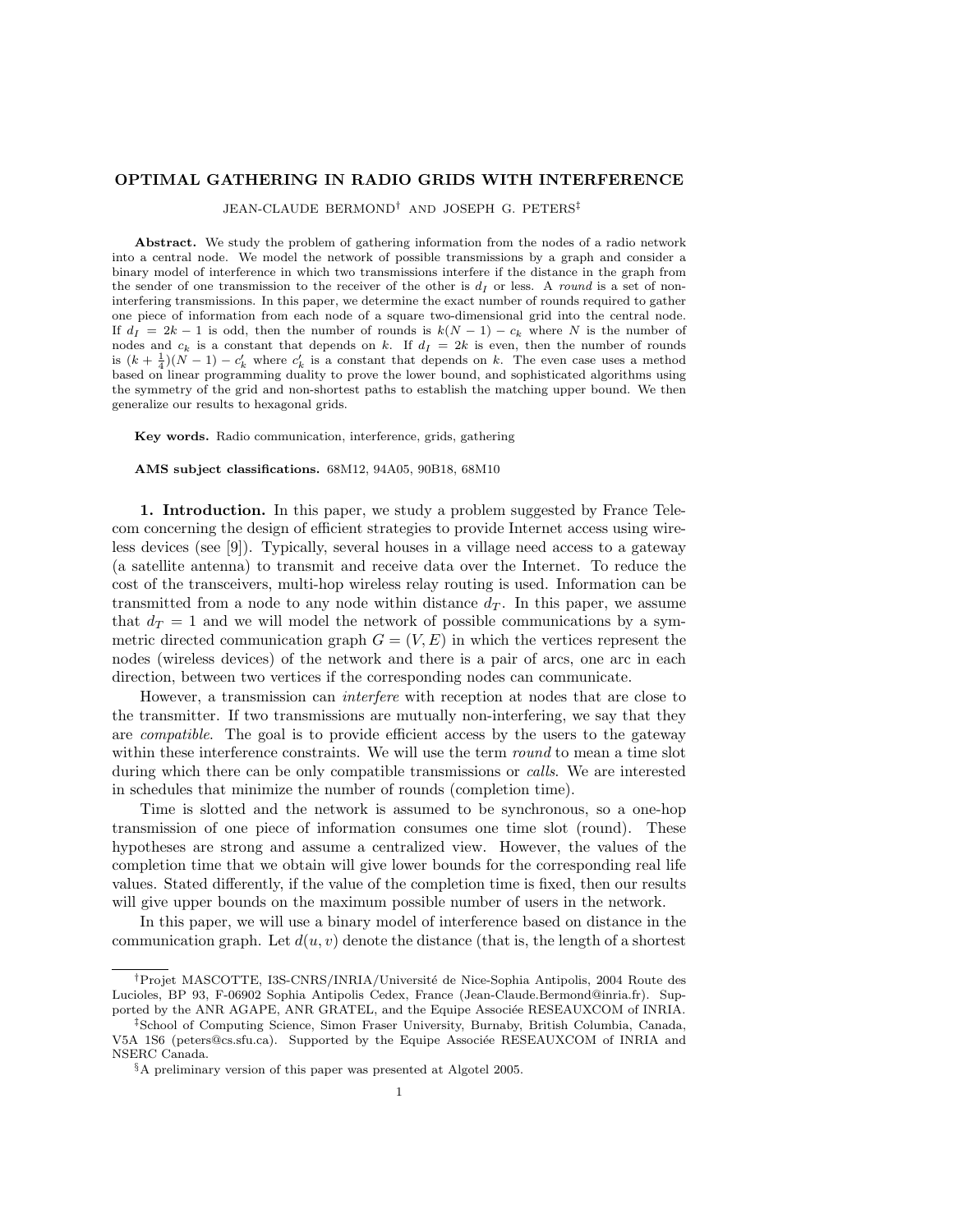#### OPTIMAL GATHERING IN RADIO GRIDS WITH INTERFERENCE

JEAN-CLAUDE BERMOND† AND JOSEPH G. PETERS‡

Abstract. We study the problem of gathering information from the nodes of a radio network into a central node. We model the network of possible transmissions by a graph and consider a binary model of interference in which two transmissions interfere if the distance in the graph from the sender of one transmission to the receiver of the other is  $d<sub>I</sub>$  or less. A round is a set of noninterfering transmissions. In this paper, we determine the exact number of rounds required to gather one piece of information from each node of a square two-dimensional grid into the central node. If  $d_I = 2k - 1$  is odd, then the number of rounds is  $k(N - 1) - c_k$  where N is the number of nodes and  $c_k$  is a constant that depends on k. If  $d_I = 2k$  is even, then the number of rounds is  $(k + \frac{1}{4})(N-1) - c'_k$  where  $c'_k$  is a constant that depends on k. The even case uses a method based on linear programming duality to prove the lower bound, and sophisticated algorithms using the symmetry of the grid and non-shortest paths to establish the matching upper bound. We then generalize our results to hexagonal grids.

Key words. Radio communication, interference, grids, gathering

AMS subject classifications. 68M12, 94A05, 90B18, 68M10

1. Introduction. In this paper, we study a problem suggested by France Telecom concerning the design of efficient strategies to provide Internet access using wireless devices (see [9]). Typically, several houses in a village need access to a gateway (a satellite antenna) to transmit and receive data over the Internet. To reduce the cost of the transceivers, multi-hop wireless relay routing is used. Information can be transmitted from a node to any node within distance  $d<sub>T</sub>$ . In this paper, we assume that  $d_T = 1$  and we will model the network of possible communications by a symmetric directed communication graph  $G = (V, E)$  in which the vertices represent the nodes (wireless devices) of the network and there is a pair of arcs, one arc in each direction, between two vertices if the corresponding nodes can communicate.

However, a transmission can interfere with reception at nodes that are close to the transmitter. If two transmissions are mutually non-interfering, we say that they are compatible. The goal is to provide efficient access by the users to the gateway within these interference constraints. We will use the term *round* to mean a time slot during which there can be only compatible transmissions or calls. We are interested in schedules that minimize the number of rounds (completion time).

Time is slotted and the network is assumed to be synchronous, so a one-hop transmission of one piece of information consumes one time slot (round). These hypotheses are strong and assume a centralized view. However, the values of the completion time that we obtain will give lower bounds for the corresponding real life values. Stated differently, if the value of the completion time is fixed, then our results will give upper bounds on the maximum possible number of users in the network.

In this paper, we will use a binary model of interference based on distance in the communication graph. Let  $d(u, v)$  denote the distance (that is, the length of a shortest

<sup>&</sup>lt;sup>†</sup>Projet MASCOTTE, I3S-CNRS/INRIA/Université de Nice-Sophia Antipolis, 2004 Route des Lucioles, BP 93, F-06902 Sophia Antipolis Cedex, France (Jean-Claude.Bermond@inria.fr). Supported by the ANR AGAPE, ANR GRATEL, and the Equipe Associée RESEAUXCOM of INRIA.

<sup>‡</sup>School of Computing Science, Simon Fraser University, Burnaby, British Columbia, Canada, V5A 1S6 (peters@cs.sfu.ca). Supported by the Equipe Associée RESEAUXCOM of INRIA and NSERC Canada.

<sup>§</sup>A preliminary version of this paper was presented at Algotel 2005.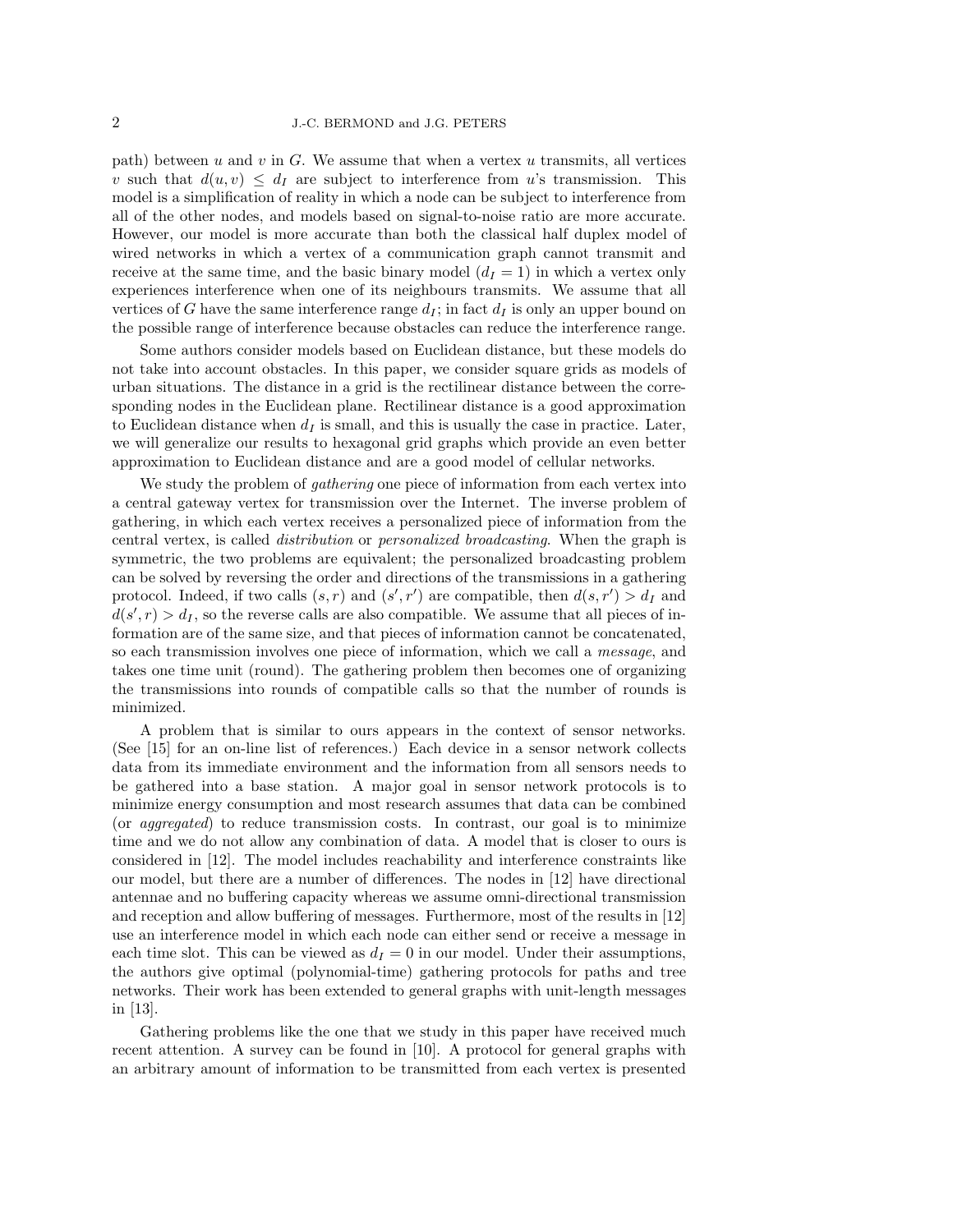path) between  $u$  and  $v$  in  $G$ . We assume that when a vertex  $u$  transmits, all vertices v such that  $d(u, v) \leq d_I$  are subject to interference from u's transmission. This model is a simplification of reality in which a node can be subject to interference from all of the other nodes, and models based on signal-to-noise ratio are more accurate. However, our model is more accurate than both the classical half duplex model of wired networks in which a vertex of a communication graph cannot transmit and receive at the same time, and the basic binary model  $(d<sub>I</sub> = 1)$  in which a vertex only experiences interference when one of its neighbours transmits. We assume that all vertices of G have the same interference range  $d_I$ ; in fact  $d_I$  is only an upper bound on the possible range of interference because obstacles can reduce the interference range.

Some authors consider models based on Euclidean distance, but these models do not take into account obstacles. In this paper, we consider square grids as models of urban situations. The distance in a grid is the rectilinear distance between the corresponding nodes in the Euclidean plane. Rectilinear distance is a good approximation to Euclidean distance when  $d_I$  is small, and this is usually the case in practice. Later, we will generalize our results to hexagonal grid graphs which provide an even better approximation to Euclidean distance and are a good model of cellular networks.

We study the problem of *gathering* one piece of information from each vertex into a central gateway vertex for transmission over the Internet. The inverse problem of gathering, in which each vertex receives a personalized piece of information from the central vertex, is called distribution or personalized broadcasting. When the graph is symmetric, the two problems are equivalent; the personalized broadcasting problem can be solved by reversing the order and directions of the transmissions in a gathering protocol. Indeed, if two calls  $(s, r)$  and  $(s', r')$  are compatible, then  $d(s, r') > d<sub>I</sub>$  and  $d(s', r) > d_I$ , so the reverse calls are also compatible. We assume that all pieces of information are of the same size, and that pieces of information cannot be concatenated, so each transmission involves one piece of information, which we call a message, and takes one time unit (round). The gathering problem then becomes one of organizing the transmissions into rounds of compatible calls so that the number of rounds is minimized.

A problem that is similar to ours appears in the context of sensor networks. (See [15] for an on-line list of references.) Each device in a sensor network collects data from its immediate environment and the information from all sensors needs to be gathered into a base station. A major goal in sensor network protocols is to minimize energy consumption and most research assumes that data can be combined (or aggregated) to reduce transmission costs. In contrast, our goal is to minimize time and we do not allow any combination of data. A model that is closer to ours is considered in [12]. The model includes reachability and interference constraints like our model, but there are a number of differences. The nodes in [12] have directional antennae and no buffering capacity whereas we assume omni-directional transmission and reception and allow buffering of messages. Furthermore, most of the results in [12] use an interference model in which each node can either send or receive a message in each time slot. This can be viewed as  $d_I = 0$  in our model. Under their assumptions, the authors give optimal (polynomial-time) gathering protocols for paths and tree networks. Their work has been extended to general graphs with unit-length messages in [13].

Gathering problems like the one that we study in this paper have received much recent attention. A survey can be found in [10]. A protocol for general graphs with an arbitrary amount of information to be transmitted from each vertex is presented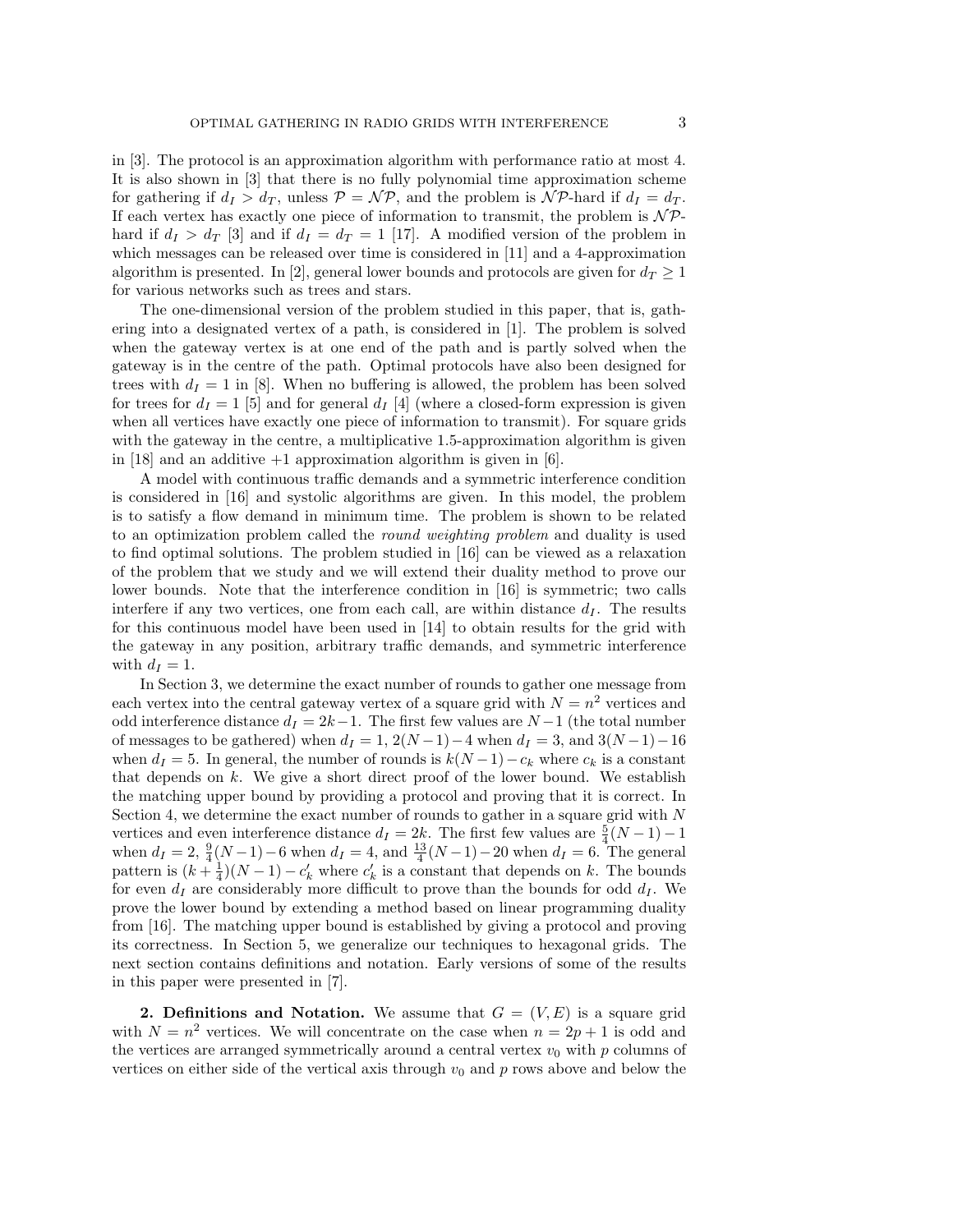in [3]. The protocol is an approximation algorithm with performance ratio at most 4. It is also shown in [3] that there is no fully polynomial time approximation scheme for gathering if  $d_I > d_T$ , unless  $P = \mathcal{NP}$ , and the problem is  $\mathcal{NP}$ -hard if  $d_I = d_T$ . If each vertex has exactly one piece of information to transmit, the problem is  $\mathcal{NP}$ hard if  $d_I > d_T$  [3] and if  $d_I = d_T = 1$  [17]. A modified version of the problem in which messages can be released over time is considered in [11] and a 4-approximation algorithm is presented. In [2], general lower bounds and protocols are given for  $d_T \geq 1$ for various networks such as trees and stars.

The one-dimensional version of the problem studied in this paper, that is, gathering into a designated vertex of a path, is considered in [1]. The problem is solved when the gateway vertex is at one end of the path and is partly solved when the gateway is in the centre of the path. Optimal protocols have also been designed for trees with  $d_I = 1$  in [8]. When no buffering is allowed, the problem has been solved for trees for  $d_I = 1$  [5] and for general  $d_I$  [4] (where a closed-form expression is given when all vertices have exactly one piece of information to transmit). For square grids with the gateway in the centre, a multiplicative 1.5-approximation algorithm is given in  $[18]$  and an additive  $+1$  approximation algorithm is given in  $[6]$ .

A model with continuous traffic demands and a symmetric interference condition is considered in [16] and systolic algorithms are given. In this model, the problem is to satisfy a flow demand in minimum time. The problem is shown to be related to an optimization problem called the round weighting problem and duality is used to find optimal solutions. The problem studied in [16] can be viewed as a relaxation of the problem that we study and we will extend their duality method to prove our lower bounds. Note that the interference condition in [16] is symmetric; two calls interfere if any two vertices, one from each call, are within distance  $d_I$ . The results for this continuous model have been used in [14] to obtain results for the grid with the gateway in any position, arbitrary traffic demands, and symmetric interference with  $d_I = 1$ .

In Section 3, we determine the exact number of rounds to gather one message from each vertex into the central gateway vertex of a square grid with  $N = n^2$  vertices and odd interference distance  $d_I = 2k-1$ . The first few values are  $N-1$  (the total number of messages to be gathered) when  $d_I = 1$ ,  $2(N-1)-4$  when  $d_I = 3$ , and  $3(N-1)-16$ when  $d_I = 5$ . In general, the number of rounds is  $k(N-1) - c_k$  where  $c_k$  is a constant that depends on  $k$ . We give a short direct proof of the lower bound. We establish the matching upper bound by providing a protocol and proving that it is correct. In Section 4, we determine the exact number of rounds to gather in a square grid with N vertices and even interference distance  $d_I = 2k$ . The first few values are  $\frac{5}{4}(N-1) - 1$ when  $d_I = 2$ ,  $\frac{9}{4}(N-1)-6$  when  $d_I = 4$ , and  $\frac{13}{4}(N-1)-20$  when  $d_I = 6$ . The general pattern is  $(k+\frac{1}{4})(N-1)-c'_k$  where  $c'_k$  is a constant that depends on k. The bounds for even  $d_I$  are considerably more difficult to prove than the bounds for odd  $d_I$ . We prove the lower bound by extending a method based on linear programming duality from [16]. The matching upper bound is established by giving a protocol and proving its correctness. In Section 5, we generalize our techniques to hexagonal grids. The next section contains definitions and notation. Early versions of some of the results in this paper were presented in [7].

**2. Definitions and Notation.** We assume that  $G = (V, E)$  is a square grid with  $N = n^2$  vertices. We will concentrate on the case when  $n = 2p + 1$  is odd and the vertices are arranged symmetrically around a central vertex  $v_0$  with  $p$  columns of vertices on either side of the vertical axis through  $v_0$  and p rows above and below the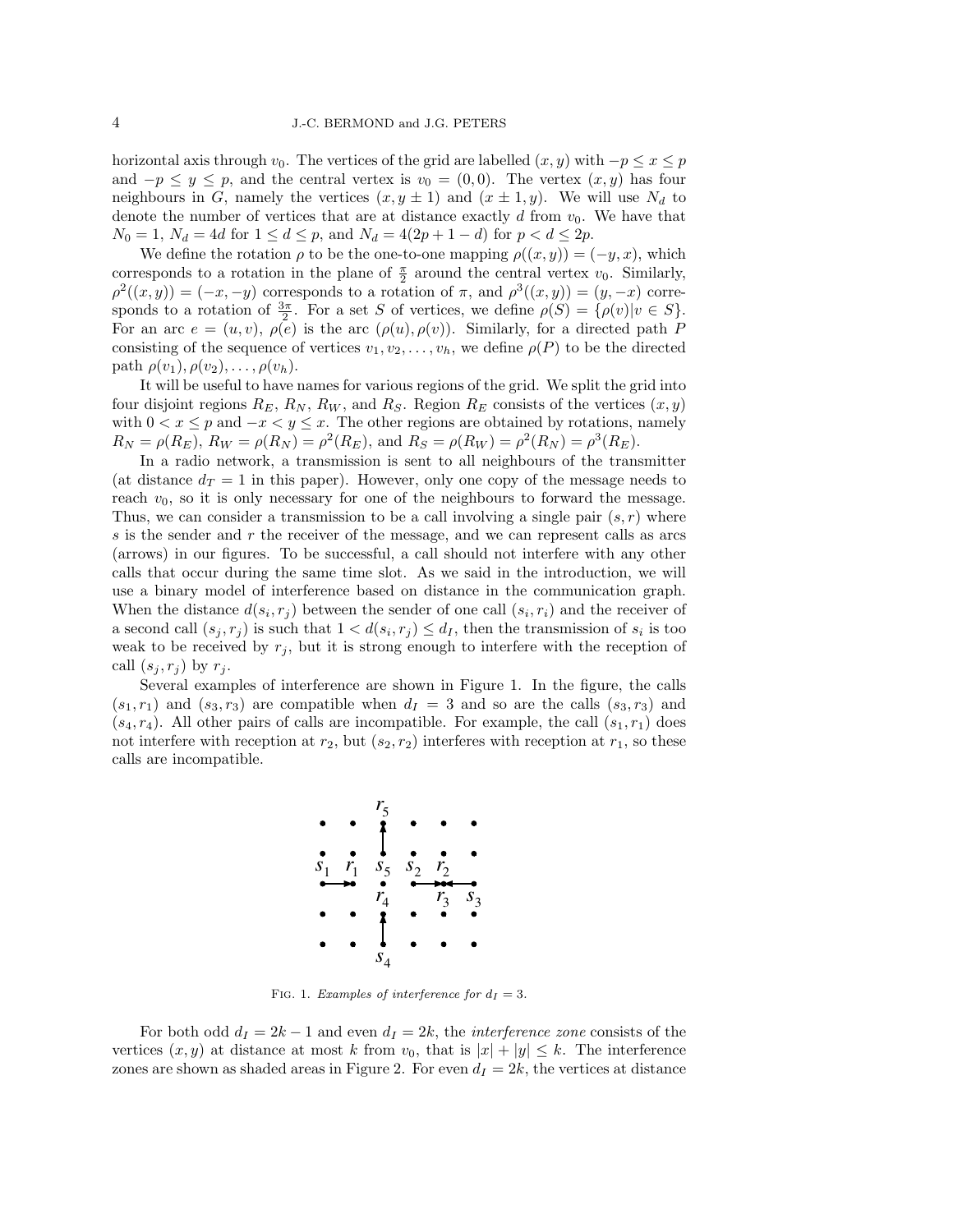horizontal axis through  $v_0$ . The vertices of the grid are labelled  $(x, y)$  with  $-p \le x \le p$ and  $-p \leq y \leq p$ , and the central vertex is  $v_0 = (0, 0)$ . The vertex  $(x, y)$  has four neighbours in G, namely the vertices  $(x, y \pm 1)$  and  $(x \pm 1, y)$ . We will use  $N_d$  to denote the number of vertices that are at distance exactly  $d$  from  $v_0$ . We have that  $N_0 = 1$ ,  $N_d = 4d$  for  $1 \le d \le p$ , and  $N_d = 4(2p + 1 - d)$  for  $p < d \le 2p$ .

We define the rotation  $\rho$  to be the one-to-one mapping  $\rho((x, y)) = (-y, x)$ , which corresponds to a rotation in the plane of  $\frac{\pi}{2}$  around the central vertex  $v_0$ . Similarly,  $\rho^2((x,y)) = (-x,-y)$  corresponds to a rotation of  $\pi$ , and  $\rho^3((x,y)) = (y,-x)$  corresponds to a rotation of  $\frac{3\pi}{2}$ . For a set S of vertices, we define  $\rho(S) = {\rho(v)|v \in S}$ . For an arc  $e = (u, v), \rho(e)$  is the arc  $(\rho(u), \rho(v))$ . Similarly, for a directed path P consisting of the sequence of vertices  $v_1, v_2, \ldots, v_h$ , we define  $\rho(P)$  to be the directed path  $\rho(v_1), \rho(v_2), \ldots, \rho(v_h)$ .

It will be useful to have names for various regions of the grid. We split the grid into four disjoint regions  $R_E$ ,  $R_N$ ,  $R_W$ , and  $R_S$ . Region  $R_E$  consists of the vertices  $(x, y)$ with  $0 < x \leq p$  and  $-x < y \leq x$ . The other regions are obtained by rotations, namely  $R_N = \rho(R_E), R_W = \rho(R_N) = \rho^2(R_E), \text{ and } R_S = \rho(R_W) = \rho^2(R_N) = \rho^3(R_E).$ 

In a radio network, a transmission is sent to all neighbours of the transmitter (at distance  $d_T = 1$  in this paper). However, only one copy of the message needs to reach  $v_0$ , so it is only necessary for one of the neighbours to forward the message. Thus, we can consider a transmission to be a call involving a single pair  $(s, r)$  where s is the sender and r the receiver of the message, and we can represent calls as arcs (arrows) in our figures. To be successful, a call should not interfere with any other calls that occur during the same time slot. As we said in the introduction, we will use a binary model of interference based on distance in the communication graph. When the distance  $d(s_i, r_j)$  between the sender of one call  $(s_i, r_i)$  and the receiver of a second call  $(s_j, r_j)$  is such that  $1 < d(s_i, r_j) \le d_I$ , then the transmission of  $s_i$  is too weak to be received by  $r_j$ , but it is strong enough to interfere with the reception of call  $(s_j, r_j)$  by  $r_j$ .

Several examples of interference are shown in Figure 1. In the figure, the calls  $(s_1, r_1)$  and  $(s_3, r_3)$  are compatible when  $d_I = 3$  and so are the calls  $(s_3, r_3)$  and  $(s_4, r_4)$ . All other pairs of calls are incompatible. For example, the call  $(s_1, r_1)$  does not interfere with reception at  $r_2$ , but  $(s_2, r_2)$  interferes with reception at  $r_1$ , so these calls are incompatible.



FIG. 1. Examples of interference for  $d_I = 3$ .

For both odd  $d_I = 2k - 1$  and even  $d_I = 2k$ , the *interference zone* consists of the vertices  $(x, y)$  at distance at most k from  $v_0$ , that is  $|x| + |y| \leq k$ . The interference zones are shown as shaded areas in Figure 2. For even  $d_I = 2k$ , the vertices at distance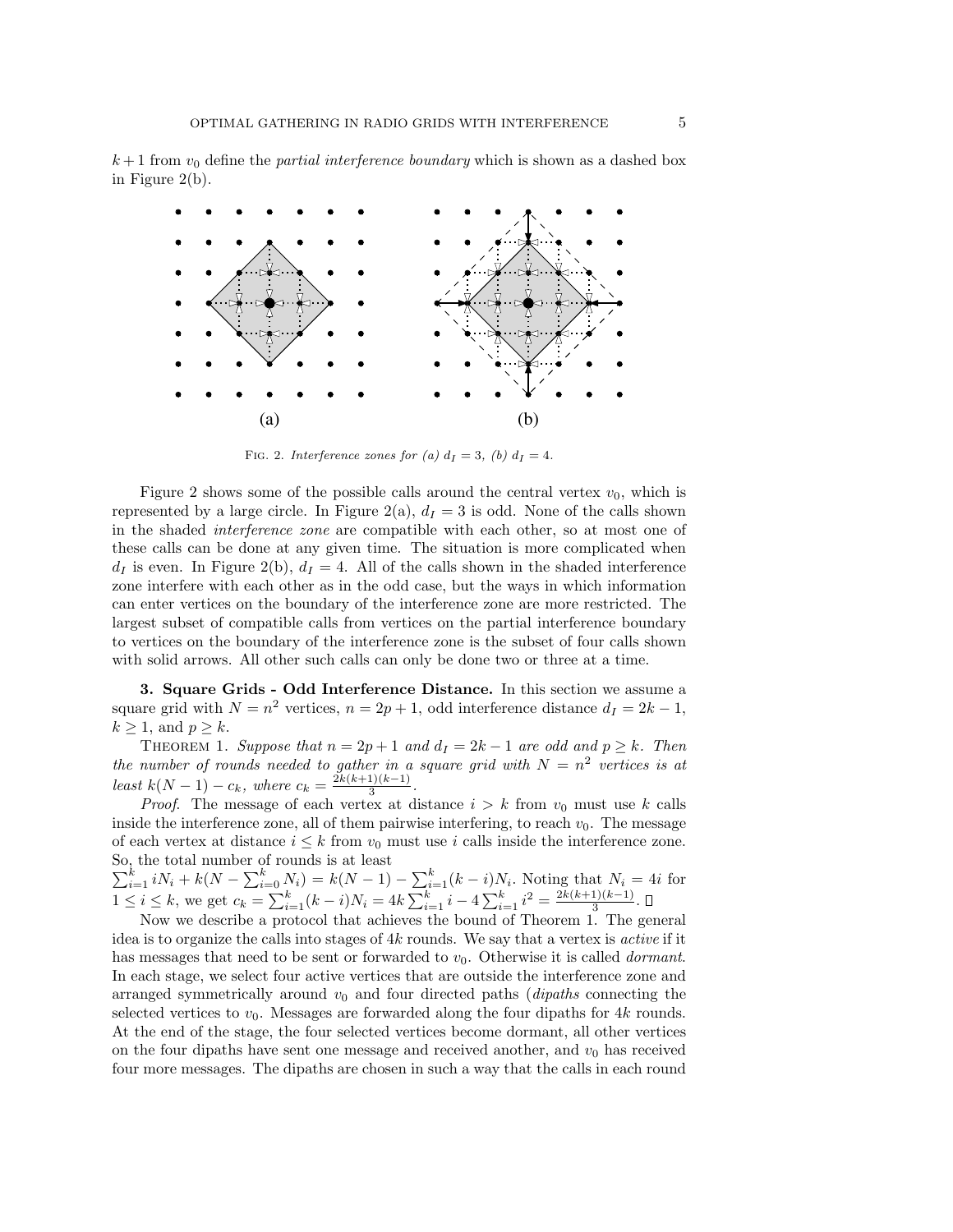$k+1$  from  $v_0$  define the *partial interference boundary* which is shown as a dashed box in Figure 2(b).



FIG. 2. Interference zones for (a)  $d_I = 3$ , (b)  $d_I = 4$ .

Figure 2 shows some of the possible calls around the central vertex  $v_0$ , which is represented by a large circle. In Figure 2(a),  $d_I = 3$  is odd. None of the calls shown in the shaded interference zone are compatible with each other, so at most one of these calls can be done at any given time. The situation is more complicated when  $d_I$  is even. In Figure 2(b),  $d_I = 4$ . All of the calls shown in the shaded interference zone interfere with each other as in the odd case, but the ways in which information can enter vertices on the boundary of the interference zone are more restricted. The largest subset of compatible calls from vertices on the partial interference boundary to vertices on the boundary of the interference zone is the subset of four calls shown with solid arrows. All other such calls can only be done two or three at a time.

3. Square Grids - Odd Interference Distance. In this section we assume a square grid with  $N = n^2$  vertices,  $n = 2p + 1$ , odd interference distance  $d_I = 2k - 1$ ,  $k \geq 1$ , and  $p \geq k$ .

THEOREM 1. Suppose that  $n = 2p + 1$  and  $d<sub>I</sub> = 2k - 1$  are odd and  $p \ge k$ . Then the number of rounds needed to gather in a square grid with  $N = n^2$  vertices is at least  $k(N-1) - c_k$ , where  $c_k = \frac{2k(k+1)(k-1)}{3}$  $\frac{1}{3}$ .

*Proof.* The message of each vertex at distance  $i > k$  from  $v_0$  must use k calls inside the interference zone, all of them pairwise interfering, to reach  $v_0$ . The message of each vertex at distance  $i \leq k$  from  $v_0$  must use i calls inside the interference zone. So, the total number of rounds is at least

 $\sum_{i=1}^{k} iN_i + k(N - \sum_{i=0}^{k} N_i) = k(N - 1) - \sum_{i=1}^{k} (k - i)N_i$ . Noting that  $N_i = 4i$  for  $1 \leq i \leq k$ , we get  $c_k = \sum_{i=1}^k (k-i)N_i = 4k \sum_{i=1}^k i - 4 \sum_{i=1}^k i^2 = \frac{2k(k+1)(k-1)}{3}$  $\frac{1}{3}$ .

Now we describe a protocol that achieves the bound of Theorem 1. The general idea is to organize the calls into stages of  $4k$  rounds. We say that a vertex is *active* if it has messages that need to be sent or forwarded to  $v_0$ . Otherwise it is called *dormant*. In each stage, we select four active vertices that are outside the interference zone and arranged symmetrically around  $v_0$  and four directed paths (*dipaths* connecting the selected vertices to  $v_0$ . Messages are forwarded along the four dipaths for 4k rounds. At the end of the stage, the four selected vertices become dormant, all other vertices on the four dipaths have sent one message and received another, and  $v_0$  has received four more messages. The dipaths are chosen in such a way that the calls in each round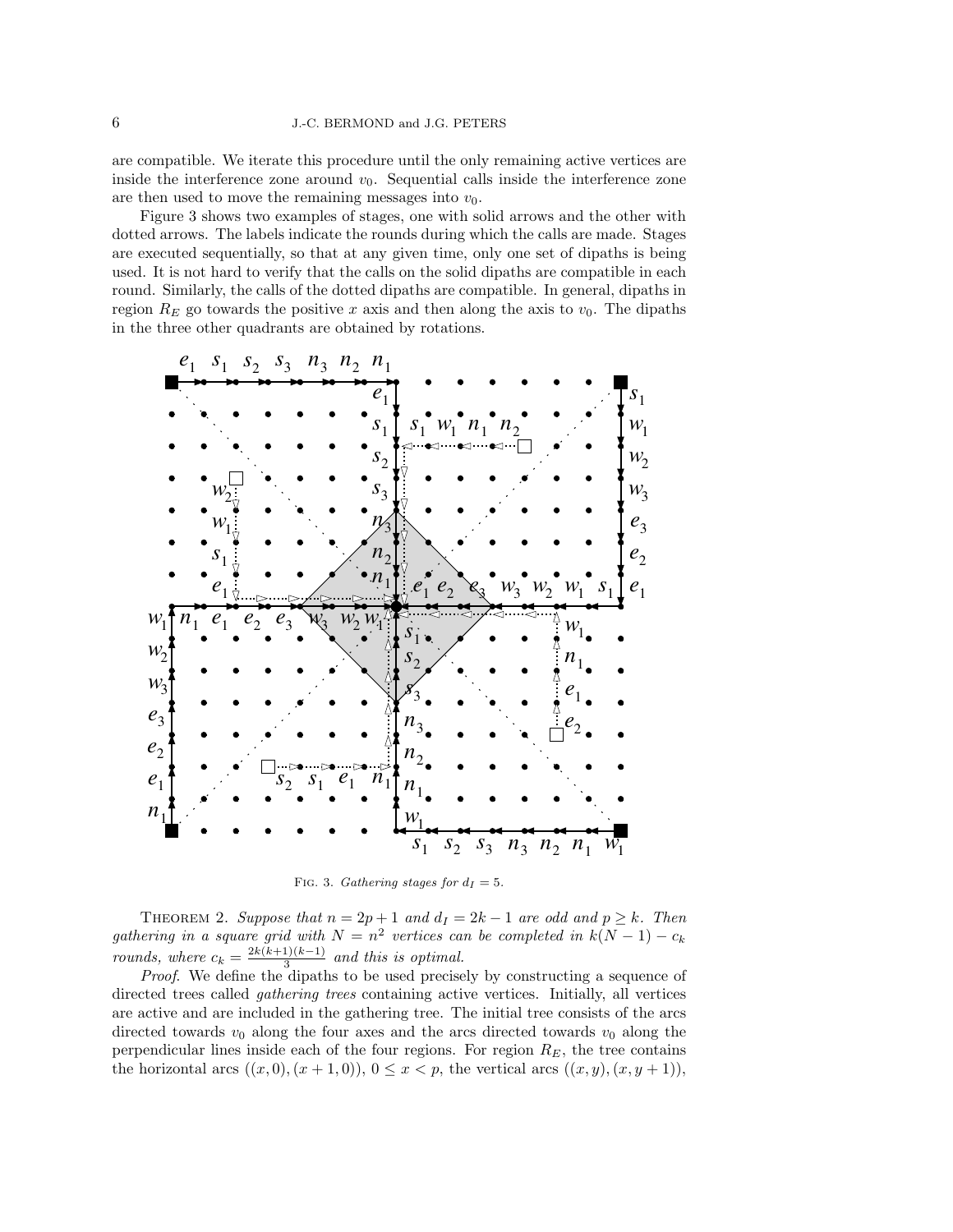are compatible. We iterate this procedure until the only remaining active vertices are inside the interference zone around  $v_0$ . Sequential calls inside the interference zone are then used to move the remaining messages into  $v_0$ .

Figure 3 shows two examples of stages, one with solid arrows and the other with dotted arrows. The labels indicate the rounds during which the calls are made. Stages are executed sequentially, so that at any given time, only one set of dipaths is being used. It is not hard to verify that the calls on the solid dipaths are compatible in each round. Similarly, the calls of the dotted dipaths are compatible. In general, dipaths in region  $R_E$  go towards the positive x axis and then along the axis to  $v_0$ . The dipaths in the three other quadrants are obtained by rotations.



FIG. 3. Gathering stages for  $d_I = 5$ .

THEOREM 2. Suppose that  $n = 2p + 1$  and  $d<sub>I</sub> = 2k - 1$  are odd and  $p \ge k$ . Then gathering in a square grid with  $N = n^2$  vertices can be completed in  $k(N - 1) - c_k$ rounds, where  $c_k = \frac{2k(k+1)(k-1)}{3}$  $\frac{1}{3}$  and this is optimal.

Proof. We define the dipaths to be used precisely by constructing a sequence of directed trees called gathering trees containing active vertices. Initially, all vertices are active and are included in the gathering tree. The initial tree consists of the arcs directed towards  $v_0$  along the four axes and the arcs directed towards  $v_0$  along the perpendicular lines inside each of the four regions. For region  $R_E$ , the tree contains the horizontal arcs  $((x, 0), (x + 1, 0)), 0 \le x < p$ , the vertical arcs  $((x, y), (x, y + 1)),$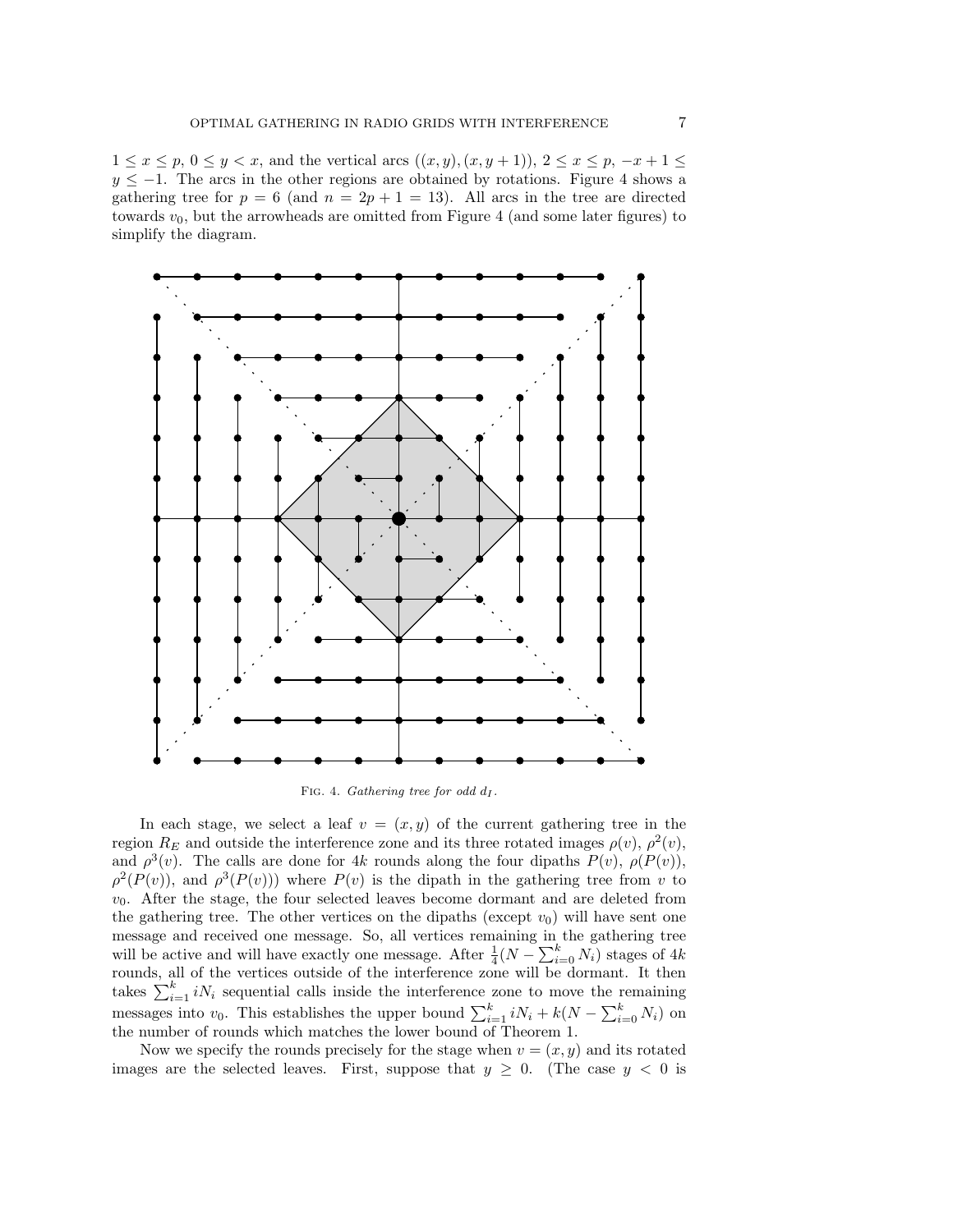$1 \le x \le p, 0 \le y < x$ , and the vertical arcs  $((x, y), (x, y + 1)), 2 \le x \le p, -x + 1 \le$  $y \le -1$ . The arcs in the other regions are obtained by rotations. Figure 4 shows a gathering tree for  $p = 6$  (and  $n = 2p + 1 = 13$ ). All arcs in the tree are directed towards  $v_0$ , but the arrowheads are omitted from Figure 4 (and some later figures) to simplify the diagram.



In each stage, we select a leaf  $v = (x, y)$  of the current gathering tree in the region  $R_E$  and outside the interference zone and its three rotated images  $\rho(v)$ ,  $\rho^2(v)$ , and  $\rho^3(v)$ . The calls are done for 4k rounds along the four dipaths  $P(v)$ ,  $\rho(P(v))$ ,  $\rho^2(P(v))$ , and  $\rho^3(P(v))$ ) where  $P(v)$  is the dipath in the gathering tree from v to  $v_0$ . After the stage, the four selected leaves become dormant and are deleted from the gathering tree. The other vertices on the dipaths (except  $v_0$ ) will have sent one message and received one message. So, all vertices remaining in the gathering tree will be active and will have exactly one message. After  $\frac{1}{4}(N - \sum_{i=0}^{k} N_i)$  stages of 4k rounds, all of the vertices outside of the interference zone will be dormant. It then takes  $\sum_{i=1}^{k} i N_i$  sequential calls inside the interference zone to move the remaining messages into  $v_0$ . This establishes the upper bound  $\sum_{i=1}^{k} iN_i + k(N - \sum_{i=0}^{k} N_i)$  on the number of rounds which matches the lower bound of Theorem 1.

Now we specify the rounds precisely for the stage when  $v = (x, y)$  and its rotated images are the selected leaves. First, suppose that  $y \geq 0$ . (The case  $y < 0$  is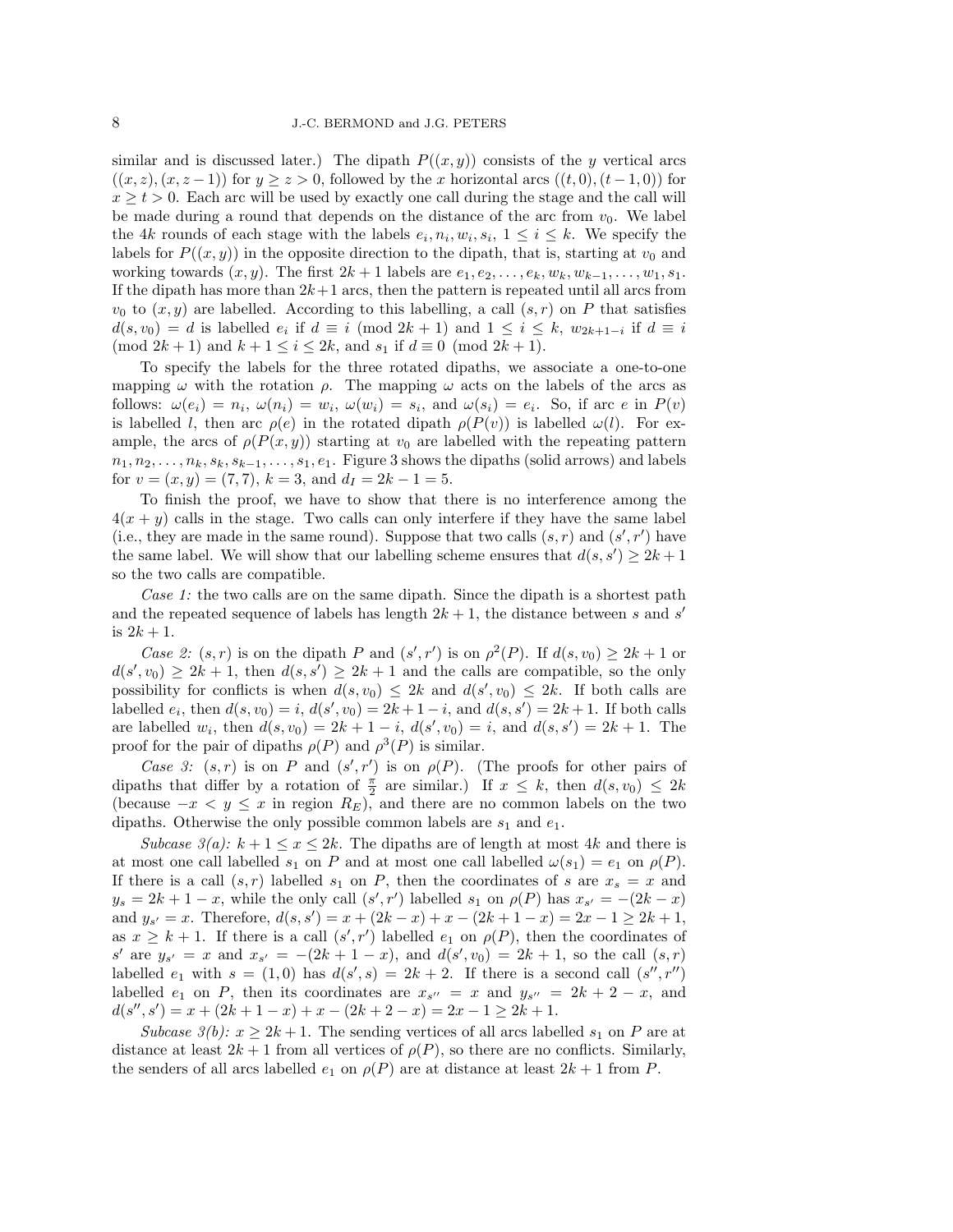similar and is discussed later.) The dipath  $P((x, y))$  consists of the y vertical arcs  $((x, z), (x, z - 1))$  for  $y \ge z > 0$ , followed by the x horizontal arcs  $((t, 0), (t - 1, 0))$  for  $x \geq t > 0$ . Each arc will be used by exactly one call during the stage and the call will be made during a round that depends on the distance of the arc from  $v_0$ . We label the 4k rounds of each stage with the labels  $e_i, n_i, w_i, s_i, 1 \leq i \leq k$ . We specify the labels for  $P((x, y))$  in the opposite direction to the dipath, that is, starting at  $v_0$  and working towards  $(x, y)$ . The first  $2k + 1$  labels are  $e_1, e_2, \ldots, e_k, w_k, w_{k-1}, \ldots, w_1, s_1$ . If the dipath has more than  $2k+1$  arcs, then the pattern is repeated until all arcs from  $v_0$  to  $(x, y)$  are labelled. According to this labelling, a call  $(s, r)$  on P that satisfies  $d(s, v_0) = d$  is labelled  $e_i$  if  $d \equiv i \pmod{2k+1}$  and  $1 \le i \le k$ ,  $w_{2k+1-i}$  if  $d \equiv i$ (mod  $2k + 1$ ) and  $k + 1 \le i \le 2k$ , and  $s_1$  if  $d \equiv 0 \pmod{2k + 1}$ .

To specify the labels for the three rotated dipaths, we associate a one-to-one mapping  $\omega$  with the rotation  $\rho$ . The mapping  $\omega$  acts on the labels of the arcs as follows:  $\omega(e_i) = n_i$ ,  $\omega(n_i) = w_i$ ,  $\omega(w_i) = s_i$ , and  $\omega(s_i) = e_i$ . So, if arc e in  $P(v)$ is labelled l, then arc  $\rho(e)$  in the rotated dipath  $\rho(P(v))$  is labelled  $\omega(l)$ . For example, the arcs of  $\rho(P(x, y))$  starting at  $v_0$  are labelled with the repeating pattern  $n_1, n_2, \ldots, n_k, s_k, s_{k-1}, \ldots, s_1, e_1$ . Figure 3 shows the dipaths (solid arrows) and labels for  $v = (x, y) = (7, 7), k = 3$ , and  $d<sub>I</sub> = 2k - 1 = 5$ .

To finish the proof, we have to show that there is no interference among the  $4(x + y)$  calls in the stage. Two calls can only interfere if they have the same label (i.e., they are made in the same round). Suppose that two calls  $(s, r)$  and  $(s', r')$  have the same label. We will show that our labelling scheme ensures that  $d(s, s') \geq 2k + 1$ so the two calls are compatible.

Case 1: the two calls are on the same dipath. Since the dipath is a shortest path and the repeated sequence of labels has length  $2k + 1$ , the distance between s and s' is  $2k + 1$ .

Case 2:  $(s, r)$  is on the dipath P and  $(s', r')$  is on  $\rho^2(P)$ . If  $d(s, v_0) \geq 2k + 1$  or  $d(s',v_0) \geq 2k+1$ , then  $d(s,s') \geq 2k+1$  and the calls are compatible, so the only possibility for conflicts is when  $d(s, v_0) \leq 2k$  and  $d(s', v_0) \leq 2k$ . If both calls are labelled  $e_i$ , then  $d(s, v_0) = i$ ,  $d(s', v_0) = 2k + 1 - i$ , and  $d(s, s') = 2k + 1$ . If both calls are labelled  $w_i$ , then  $d(s, v_0) = 2k + 1 - i$ ,  $d(s', v_0) = i$ , and  $d(s, s') = 2k + 1$ . The proof for the pair of dipaths  $\rho(P)$  and  $\rho^3(P)$  is similar.

Case 3:  $(s, r)$  is on P and  $(s', r')$  is on  $\rho(P)$ . (The proofs for other pairs of dipaths that differ by a rotation of  $\frac{\pi}{2}$  are similar.) If  $x \leq k$ , then  $d(s, v_0) \leq 2k$ (because  $-x < y \leq x$  in region  $R_E$ ), and there are no common labels on the two dipaths. Otherwise the only possible common labels are  $s_1$  and  $e_1$ .

Subcase  $\Im(a)$ :  $k+1 \leq x \leq 2k$ . The dipaths are of length at most 4k and there is at most one call labelled  $s_1$  on P and at most one call labelled  $\omega(s_1) = e_1$  on  $\rho(P)$ . If there is a call  $(s, r)$  labelled  $s_1$  on P, then the coordinates of s are  $x_s = x$  and  $y_s = 2k + 1 - x$ , while the only call  $(s', r')$  labelled  $s_1$  on  $\rho(P)$  has  $x_{s'} = -(2k - x)$ and  $y_{s'} = x$ . Therefore,  $d(s, s') = x + (2k - x) + x - (2k + 1 - x) = 2x - 1 \ge 2k + 1$ , as  $x \geq k+1$ . If there is a call  $(s', r')$  labelled  $e_1$  on  $\rho(P)$ , then the coordinates of  $s'$  are  $y_{s'} = x$  and  $x_{s'} = -(2k+1-x)$ , and  $d(s', v_0) = 2k+1$ , so the call  $(s, r)$ labelled  $e_1$  with  $s = (1,0)$  has  $d(s', s) = 2k + 2$ . If there is a second call  $(s'', r'')$ labelled  $e_1$  on P, then its coordinates are  $x_{s''} = x$  and  $y_{s''} = 2k + 2 - x$ , and  $d(s'', s') = x + (2k + 1 - x) + x - (2k + 2 - x) = 2x - 1 \geq 2k + 1.$ 

Subcase  $\mathcal{S}(b): x \geq 2k+1$ . The sending vertices of all arcs labelled  $s_1$  on P are at distance at least  $2k + 1$  from all vertices of  $\rho(P)$ , so there are no conflicts. Similarly, the senders of all arcs labelled  $e_1$  on  $\rho(P)$  are at distance at least  $2k+1$  from P.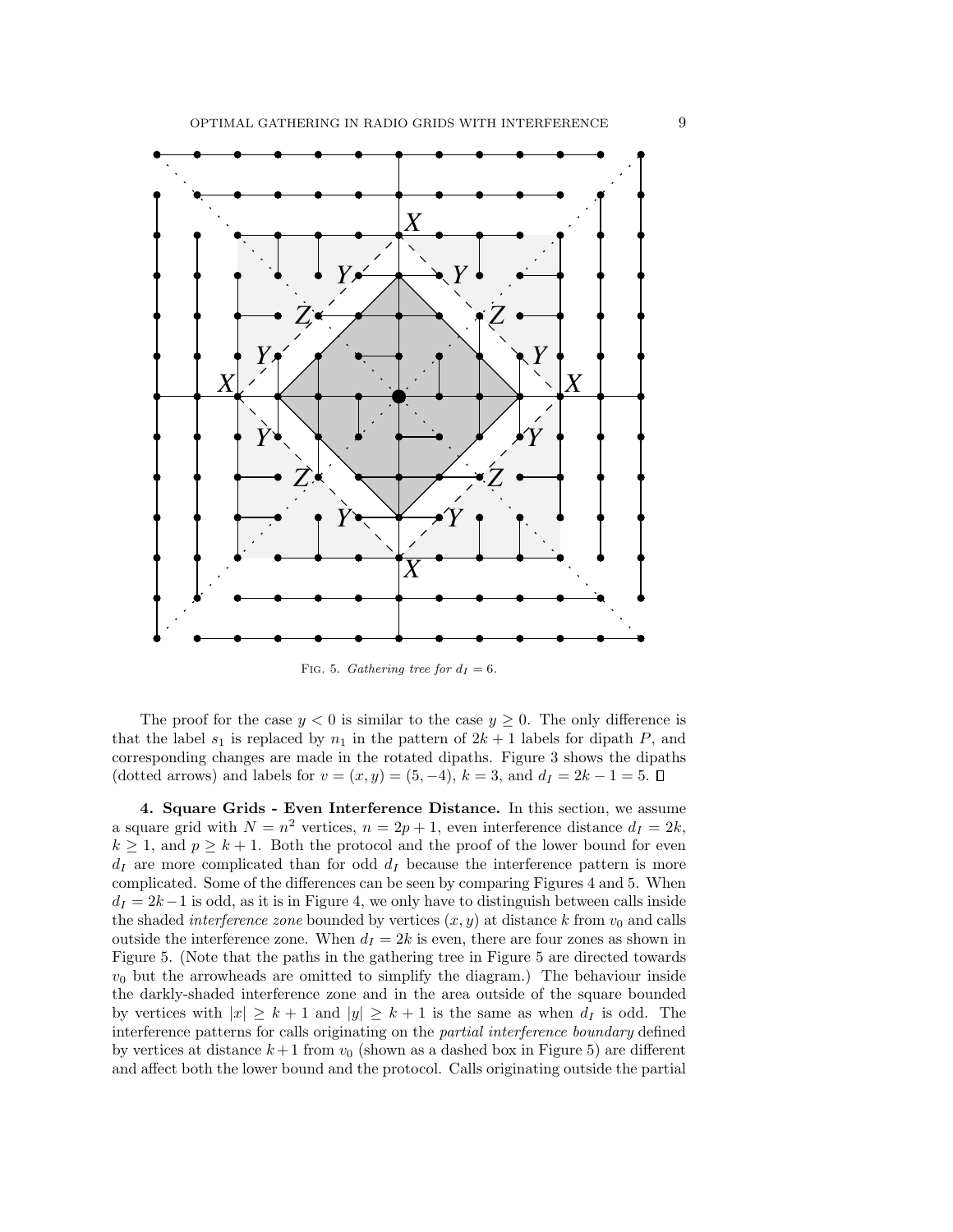

The proof for the case  $y < 0$  is similar to the case  $y \ge 0$ . The only difference is that the label  $s_1$  is replaced by  $n_1$  in the pattern of  $2k + 1$  labels for dipath P, and corresponding changes are made in the rotated dipaths. Figure 3 shows the dipaths (dotted arrows) and labels for  $v = (x, y) = (5, -4)$ ,  $k = 3$ , and  $d<sub>I</sub> = 2k - 1 = 5$ .  $\Box$ 

4. Square Grids - Even Interference Distance. In this section, we assume a square grid with  $N = n^2$  vertices,  $n = 2p + 1$ , even interference distance  $d_I = 2k$ ,  $k \geq 1$ , and  $p \geq k+1$ . Both the protocol and the proof of the lower bound for even  $d_I$  are more complicated than for odd  $d_I$  because the interference pattern is more complicated. Some of the differences can be seen by comparing Figures 4 and 5. When  $d_I = 2k-1$  is odd, as it is in Figure 4, we only have to distinguish between calls inside the shaded *interference zone* bounded by vertices  $(x, y)$  at distance k from  $v_0$  and calls outside the interference zone. When  $d<sub>I</sub> = 2k$  is even, there are four zones as shown in Figure 5. (Note that the paths in the gathering tree in Figure 5 are directed towards  $v_0$  but the arrowheads are omitted to simplify the diagram.) The behaviour inside the darkly-shaded interference zone and in the area outside of the square bounded by vertices with  $|x| \geq k+1$  and  $|y| \geq k+1$  is the same as when  $d_I$  is odd. The interference patterns for calls originating on the partial interference boundary defined by vertices at distance  $k+1$  from  $v_0$  (shown as a dashed box in Figure 5) are different and affect both the lower bound and the protocol. Calls originating outside the partial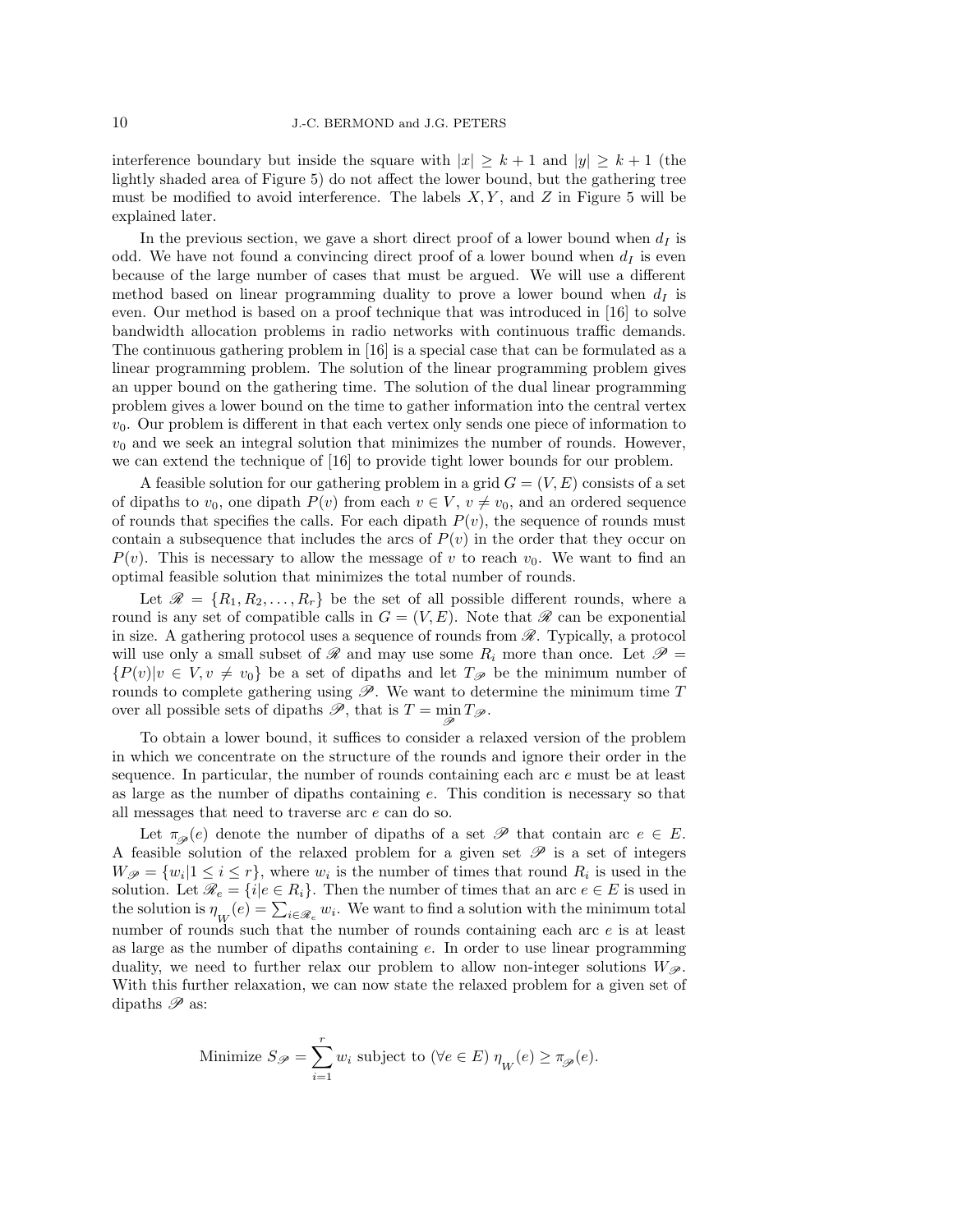interference boundary but inside the square with  $|x| \geq k+1$  and  $|y| \geq k+1$  (the lightly shaded area of Figure 5) do not affect the lower bound, but the gathering tree must be modified to avoid interference. The labels  $X, Y$ , and  $Z$  in Figure 5 will be explained later.

In the previous section, we gave a short direct proof of a lower bound when  $d_I$  is odd. We have not found a convincing direct proof of a lower bound when  $d_I$  is even because of the large number of cases that must be argued. We will use a different method based on linear programming duality to prove a lower bound when  $d_I$  is even. Our method is based on a proof technique that was introduced in [16] to solve bandwidth allocation problems in radio networks with continuous traffic demands. The continuous gathering problem in [16] is a special case that can be formulated as a linear programming problem. The solution of the linear programming problem gives an upper bound on the gathering time. The solution of the dual linear programming problem gives a lower bound on the time to gather information into the central vertex  $v_0$ . Our problem is different in that each vertex only sends one piece of information to  $v<sub>0</sub>$  and we seek an integral solution that minimizes the number of rounds. However, we can extend the technique of [16] to provide tight lower bounds for our problem.

A feasible solution for our gathering problem in a grid  $G = (V, E)$  consists of a set of dipaths to  $v_0$ , one dipath  $P(v)$  from each  $v \in V$ ,  $v \neq v_0$ , and an ordered sequence of rounds that specifies the calls. For each dipath  $P(v)$ , the sequence of rounds must contain a subsequence that includes the arcs of  $P(v)$  in the order that they occur on  $P(v)$ . This is necessary to allow the message of v to reach  $v_0$ . We want to find an optimal feasible solution that minimizes the total number of rounds.

Let  $\mathscr{R} = \{R_1, R_2, \ldots, R_r\}$  be the set of all possible different rounds, where a round is any set of compatible calls in  $G = (V, E)$ . Note that  $\mathscr R$  can be exponential in size. A gathering protocol uses a sequence of rounds from  $\mathscr{R}$ . Typically, a protocol will use only a small subset of  $\mathcal R$  and may use some  $R_i$  more than once. Let  $\mathcal P$  =  ${P(v)|v \in V, v \neq v_0}$  be a set of dipaths and let  $T_{\mathscr{P}}$  be the minimum number of rounds to complete gathering using  $\mathscr{P}$ . We want to determine the minimum time  $T$ over all possible sets of dipaths  $\mathscr{P}$ , that is  $T = \min_{\mathscr{P}} T_{\mathscr{P}}$ .

To obtain a lower bound, it suffices to consider a relaxed version of the problem in which we concentrate on the structure of the rounds and ignore their order in the sequence. In particular, the number of rounds containing each arc e must be at least as large as the number of dipaths containing e. This condition is necessary so that all messages that need to traverse arc e can do so.

Let  $\pi_{\mathscr{D}}(e)$  denote the number of dipaths of a set  $\mathscr{P}$  that contain arc  $e \in E$ . A feasible solution of the relaxed problem for a given set  $\mathscr P$  is a set of integers  $W_{\mathscr{P}} = \{w_i | 1 \leq i \leq r\}$ , where  $w_i$  is the number of times that round  $R_i$  is used in the solution. Let  $\mathcal{R}_e = \{i | e \in R_i\}$ . Then the number of times that an arc  $e \in E$  is used in the solution is  $\eta_{W}(e) = \sum_{i \in \mathcal{R}_e} w_i$ . We want to find a solution with the minimum total number of rounds such that the number of rounds containing each arc  $e$  is at least as large as the number of dipaths containing e. In order to use linear programming duality, we need to further relax our problem to allow non-integer solutions  $W_{\mathscr{P}}$ . With this further relaxation, we can now state the relaxed problem for a given set of dipaths  $\mathscr P$  as:

Minimize 
$$
S_{\mathscr{P}} = \sum_{i=1}^{r} w_i
$$
 subject to  $(\forall e \in E) \eta_W(e) \geq \pi_{\mathscr{P}}(e)$ .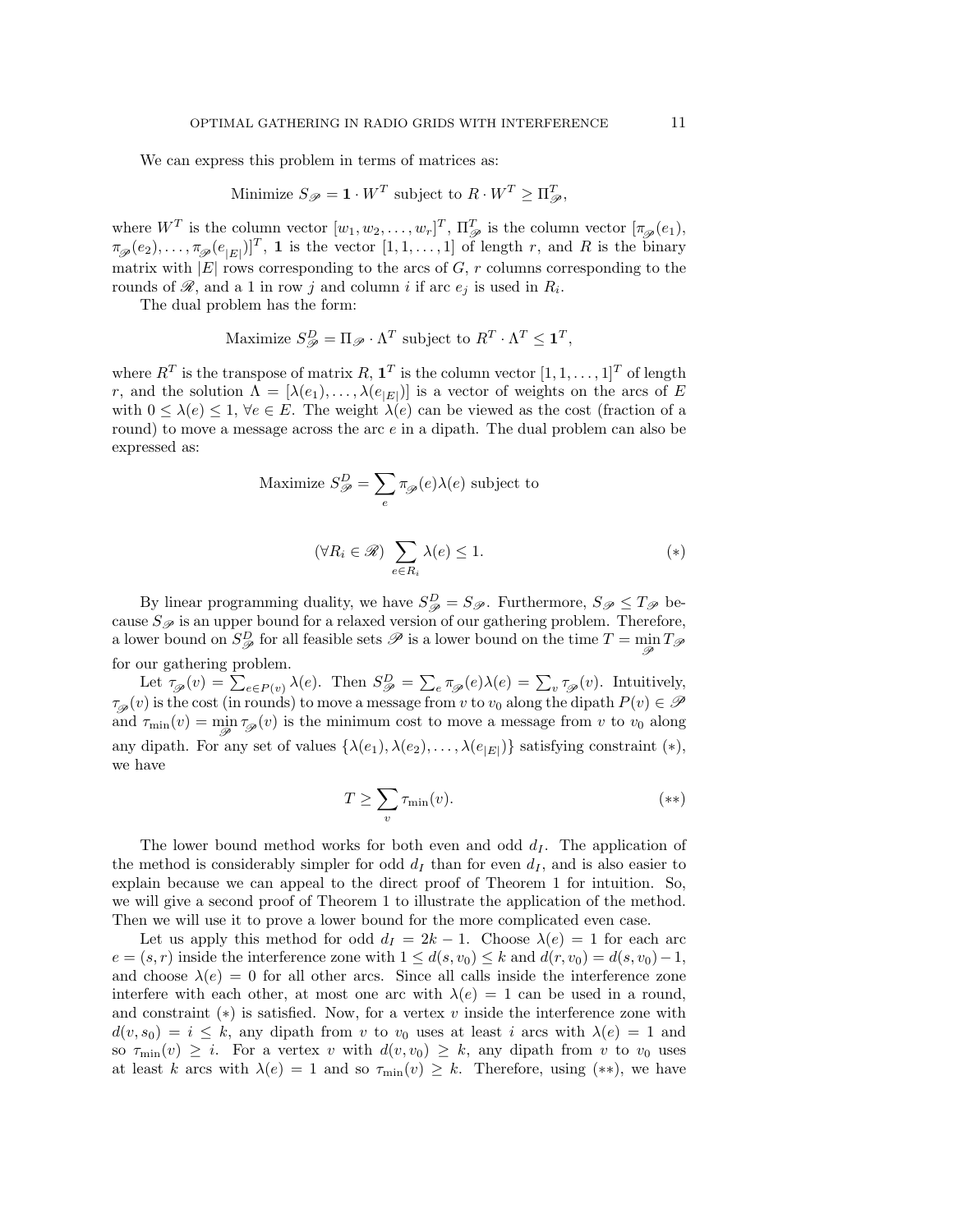We can express this problem in terms of matrices as:

Minimize 
$$
S_{\mathcal{P}} = \mathbf{1} \cdot W^T
$$
 subject to  $R \cdot W^T \geq \Pi_{\mathcal{P}}^T$ ,

where  $W^T$  is the column vector  $[w_1, w_2, \ldots, w_r]^T$ ,  $\Pi_{\mathscr{P}}^T$  is the column vector  $[\pi_{\mathscr{P}}(e_1),$  $\pi_{\mathscr{P}}(e_2), \ldots, \pi_{\mathscr{P}}(e_{|E|})]^T$ , 1 is the vector  $[1, 1, \ldots, 1]$  of length r, and R is the binary matrix with  $|E|$  rows corresponding to the arcs of  $G, r$  columns corresponding to the rounds of  $\mathscr{R}$ , and a 1 in row j and column i if arc  $e_j$  is used in  $R_i$ .

The dual problem has the form:

Maximize 
$$
S_{\mathcal{P}}^D = \Pi_{\mathcal{P}} \cdot \Lambda^T
$$
 subject to  $R^T \cdot \Lambda^T \leq \mathbf{1}^T$ ,

where  $R^T$  is the transpose of matrix R,  $\mathbf{1}^T$  is the column vector  $[1, 1, \ldots, 1]^T$  of length r, and the solution  $\Lambda = [\lambda(e_1), \ldots, \lambda(e_{|E|})]$  is a vector of weights on the arcs of E with  $0 \leq \lambda(e) \leq 1$ ,  $\forall e \in E$ . The weight  $\lambda(e)$  can be viewed as the cost (fraction of a round) to move a message across the arc  $e$  in a dipath. The dual problem can also be expressed as:

Maximize 
$$
S_{\mathscr{P}}^D = \sum_e \pi_{\mathscr{P}}(e)\lambda(e)
$$
 subject to

$$
(\forall R_i \in \mathcal{R}) \sum_{e \in R_i} \lambda(e) \le 1. \tag{*}
$$

By linear programming duality, we have  $S_{\mathscr{P}}^D = S_{\mathscr{P}}$ . Furthermore,  $S_{\mathscr{P}} \leq T_{\mathscr{P}}$  because  $S_{\mathscr{P}}$  is an upper bound for a relaxed version of our gathering problem. Therefore, a lower bound on  $S^D_{\mathscr{P}}$  for all feasible sets  $\mathscr{P}$  is a lower bound on the time  $T = \min_{\mathscr{P}} T_{\mathscr{P}}$ for our gathering problem.

Let  $\tau_{\mathscr{P}}(v) = \sum_{e \in P(v)} \lambda(e)$ . Then  $S_{\mathscr{P}}^D = \sum_{e} \pi_{\mathscr{P}}(e) \lambda(e) = \sum_{v} \tau_{\mathscr{P}}(v)$ . Intuitively,  $\tau_{\mathscr{P}}(v)$  is the cost (in rounds) to move a message from v to  $v_0$  along the dipath  $P(v) \in \mathscr{P}$ and  $\tau_{\min}(v) = \min_{\mathscr{P}} \tau_{\mathscr{P}}(v)$  is the minimum cost to move a message from v to  $v_0$  along any dipath. For any set of values  $\{\lambda(e_1), \lambda(e_2), \ldots, \lambda(e_{|E|})\}$  satisfying constraint  $(*)$ , we have

$$
T \ge \sum_{v} \tau_{\min}(v). \tag{**}
$$

The lower bound method works for both even and odd  $d<sub>I</sub>$ . The application of the method is considerably simpler for odd  $d_I$  than for even  $d_I$ , and is also easier to explain because we can appeal to the direct proof of Theorem 1 for intuition. So, we will give a second proof of Theorem 1 to illustrate the application of the method. Then we will use it to prove a lower bound for the more complicated even case.

Let us apply this method for odd  $d_I = 2k - 1$ . Choose  $\lambda(e) = 1$  for each arc  $e = (s, r)$  inside the interference zone with  $1 \leq d(s, v_0) \leq k$  and  $d(r, v_0) = d(s, v_0) - 1$ , and choose  $\lambda(e) = 0$  for all other arcs. Since all calls inside the interference zone interfere with each other, at most one arc with  $\lambda(e) = 1$  can be used in a round, and constraint  $(*)$  is satisfied. Now, for a vertex v inside the interference zone with  $d(v, s_0) = i \leq k$ , any dipath from v to  $v_0$  uses at least i arcs with  $\lambda(e) = 1$  and so  $\tau_{\min}(v) \geq i$ . For a vertex v with  $d(v, v_0) \geq k$ , any dipath from v to  $v_0$  uses at least k arcs with  $\lambda(e) = 1$  and so  $\tau_{\min}(v) \geq k$ . Therefore, using (\*\*), we have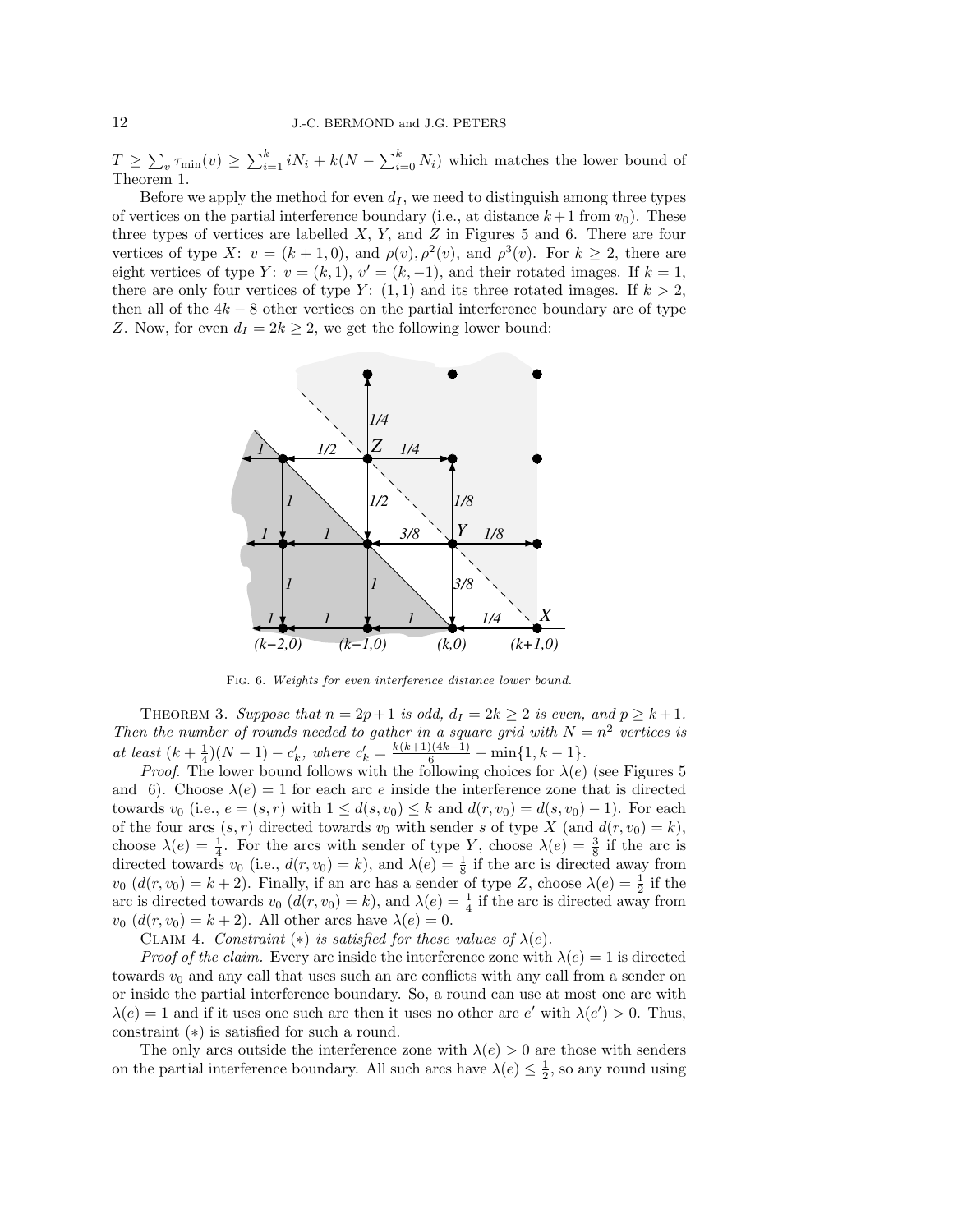$T \geq \sum_{v} \tau_{\min}(v) \geq \sum_{i=1}^{k} i N_i + k(N - \sum_{i=0}^{k} N_i)$  which matches the lower bound of Theorem 1.

Before we apply the method for even  $d_I$ , we need to distinguish among three types of vertices on the partial interference boundary (i.e., at distance  $k+1$  from  $v_0$ ). These three types of vertices are labelled  $X$ ,  $Y$ , and  $Z$  in Figures 5 and 6. There are four vertices of type X:  $v = (k+1,0)$ , and  $\rho(v), \rho^2(v)$ , and  $\rho^3(v)$ . For  $k \geq 2$ , there are eight vertices of type Y:  $v = (k, 1)$ ,  $v' = (k, -1)$ , and their rotated images. If  $k = 1$ , there are only four vertices of type Y:  $(1, 1)$  and its three rotated images. If  $k > 2$ , then all of the  $4k - 8$  other vertices on the partial interference boundary are of type Z. Now, for even  $d_I = 2k \geq 2$ , we get the following lower bound:



Fig. 6. Weights for even interference distance lower bound.

THEOREM 3. Suppose that  $n = 2p+1$  is odd,  $d<sub>I</sub> = 2k \ge 2$  is even, and  $p \ge k+1$ . Then the number of rounds needed to gather in a square grid with  $N = n^2$  vertices is at least  $(k + \frac{1}{4})(N - 1) - c'_k$ , where  $c'_k = \frac{k(k+1)(4k-1)}{6} - \min\{1, k-1\}$ .

*Proof.* The lower bound follows with the following choices for  $\lambda(e)$  (see Figures 5) and 6). Choose  $\lambda(e) = 1$  for each arc e inside the interference zone that is directed towards  $v_0$  (i.e.,  $e = (s, r)$  with  $1 \leq d(s, v_0) \leq k$  and  $d(r, v_0) = d(s, v_0) - 1$ ). For each of the four arcs  $(s, r)$  directed towards  $v_0$  with sender s of type X (and  $d(r, v_0) = k$ ), choose  $\lambda(e) = \frac{1}{4}$ . For the arcs with sender of type Y, choose  $\lambda(e) = \frac{3}{8}$  if the arc is directed towards  $v_0$  (i.e.,  $d(r, v_0) = k$ ), and  $\lambda(e) = \frac{1}{8}$  if the arc is directed away from  $v_0$   $(d(r, v_0) = k + 2)$ . Finally, if an arc has a sender of type Z, choose  $\lambda(e) = \frac{1}{2}$  if the arc is directed towards  $v_0$   $(d(r, v_0) = k)$ , and  $\lambda(e) = \frac{1}{4}$  if the arc is directed away from  $v_0$   $(d(r, v_0) = k + 2)$ . All other arcs have  $\lambda(e) = 0$ .

CLAIM 4. Constraint (\*) is satisfied for these values of  $\lambda(e)$ .

*Proof of the claim.* Every arc inside the interference zone with  $\lambda(e) = 1$  is directed towards  $v_0$  and any call that uses such an arc conflicts with any call from a sender on or inside the partial interference boundary. So, a round can use at most one arc with  $\lambda(e) = 1$  and if it uses one such arc then it uses no other arc  $e'$  with  $\lambda(e') > 0$ . Thus, constraint (∗) is satisfied for such a round.

The only arcs outside the interference zone with  $\lambda(e) > 0$  are those with senders on the partial interference boundary. All such arcs have  $\lambda(e) \leq \frac{1}{2}$ , so any round using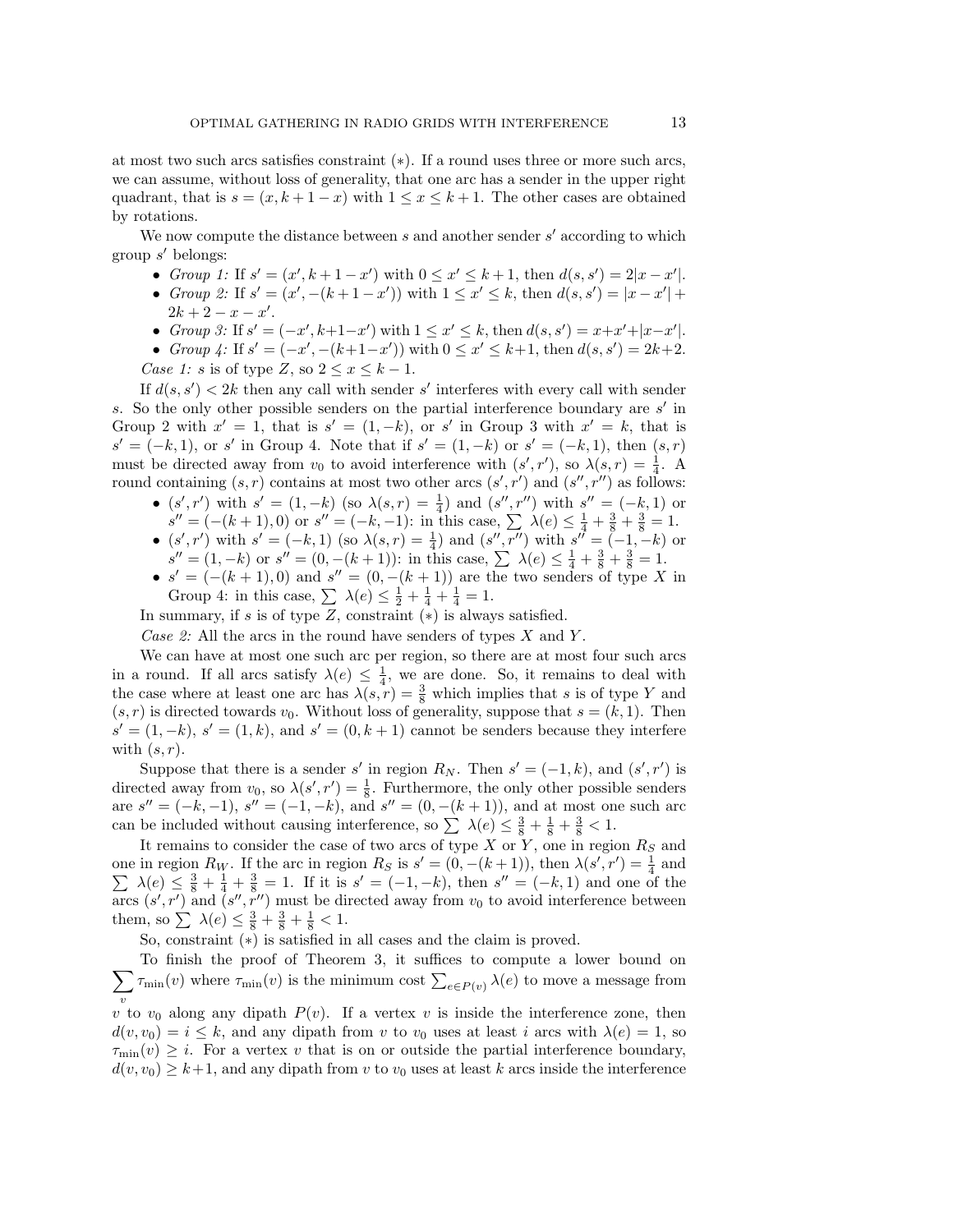at most two such arcs satisfies constraint (∗). If a round uses three or more such arcs, we can assume, without loss of generality, that one arc has a sender in the upper right quadrant, that is  $s = (x, k + 1 - x)$  with  $1 \le x \le k + 1$ . The other cases are obtained by rotations.

We now compute the distance between  $s$  and another sender  $s'$  according to which group s ′ belongs:

- Group 1: If  $s' = (x', k + 1 x')$  with  $0 \le x' \le k + 1$ , then  $d(s, s') = 2|x x'|$ .
- Group 2: If  $s' = (x', -(k+1-x'))$  with  $1 \le x' \le k$ , then  $d(s, s') = |x x'| +$  $2k + 2 - x - x'$ .
- Group 3: If  $s' = (-x', k+1-x')$  with  $1 \le x' \le k$ , then  $d(s, s') = x+x'+|x-x'|$ .
- Group 4: If  $s' = (-x', -(k+1-x'))$  with  $0 \le x' \le k+1$ , then  $d(s, s') = 2k+2$ . Case 1: s is of type Z, so  $2 \leq x \leq k-1$ .

If  $d(s, s') < 2k$  then any call with sender s' interferes with every call with sender s. So the only other possible senders on the partial interference boundary are  $s'$  in Group 2 with  $x' = 1$ , that is  $s' = (1, -k)$ , or s' in Group 3 with  $x' = k$ , that is  $s' = (-k, 1)$ , or s' in Group 4. Note that if  $s' = (1, -k)$  or  $s' = (-k, 1)$ , then  $(s, r)$ must be directed away from  $v_0$  to avoid interference with  $(s', r')$ , so  $\lambda(s, r) = \frac{1}{4}$ . A round containing  $(s, r)$  contains at most two other arcs  $(s', r')$  and  $(s'', r'')$  as follows:

- $(s', r')$  with  $s' = (1, -k)$  (so  $\lambda(s, r) = \frac{1}{4}$ ) and  $(s'', r'')$  with  $s'' = (-k, 1)$  or  $s'' = (-(k+1), 0)$  or  $s'' = (-k, -1)$ : in this case,  $\sum_{k=1}^{\infty} \lambda(e) \leq \frac{1}{4} + \frac{3}{8} + \frac{3}{8} = 1$ .
- $(s', r')$  with  $s' = (-k, 1)$  (so  $\lambda(s, r) = \frac{1}{4}$ ) and  $(s'', r'')$  with  $s'' = (-1, -k)$  or  $s'' = (1, -k)$  or  $s'' = (0, -(k+1))$ : in this case,  $\sum \lambda(e) \leq \frac{1}{4} + \frac{3}{8} + \frac{3}{8} = 1$ .
- $s' = (-(k+1), 0)$  and  $s'' = (0, -(k+1))$  are the two senders of type X in Group 4: in this case,  $\sum \lambda(e) \leq \frac{1}{2} + \frac{1}{4} + \frac{1}{4} = 1$ .

In summary, if s is of type  $Z$ , constraint  $(*)$  is always satisfied.

Case 2: All the arcs in the round have senders of types  $X$  and  $Y$ .

We can have at most one such arc per region, so there are at most four such arcs in a round. If all arcs satisfy  $\lambda(e) \leq \frac{1}{4}$ , we are done. So, it remains to deal with the case where at least one arc has  $\lambda(s,r) = \frac{3}{8}$  which implies that s is of type Y and  $(s, r)$  is directed towards  $v_0$ . Without loss of generality, suppose that  $s = (k, 1)$ . Then  $s' = (1, -k), s' = (1, k),$  and  $s' = (0, k + 1)$  cannot be senders because they interfere with  $(s, r)$ .

Suppose that there is a sender s' in region  $R_N$ . Then  $s' = (-1, k)$ , and  $(s', r')$  is directed away from  $v_0$ , so  $\lambda(s', r') = \frac{1}{8}$ . Furthermore, the only other possible senders are  $s'' = (-k, -1)$ ,  $s'' = (-1, -k)$ , and  $s'' = (0, -(k+1))$ , and at most one such arc can be included without causing interference, so  $\sum \lambda(e) \leq \frac{3}{8} + \frac{1}{8} + \frac{3}{8} < 1$ .

It remains to consider the case of two arcs of type  $X$  or  $Y$ , one in region  $R_S$  and one in region  $R_W$ . If the arc in region  $R_S$  is  $s' = (0, -(k+1))$ , then  $\lambda(s', r') = \frac{1}{4}$  and  $\sum \lambda(e) \leq \frac{3}{8} + \frac{1}{4} + \frac{3}{8} = 1$ . If it is  $s' = (-1, -k)$ , then  $s'' = (-k, 1)$  and one of the arcs  $(s', r')$  and  $(s'', r'')$  must be directed away from  $v_0$  to avoid interference between them, so  $\sum \lambda(e) \leq \frac{3}{8} + \frac{3}{8} + \frac{1}{8} < 1$ .

So, constraint (∗) is satisfied in all cases and the claim is proved.

 $\sum_{v} \tau_{\min}(v)$  where  $\tau_{\min}(v)$  is the minimum cost  $\sum_{e \in P(v)} \lambda(e)$  to move a message from To finish the proof of Theorem 3, it suffices to compute a lower bound on v

v to  $v_0$  along any dipath  $P(v)$ . If a vertex v is inside the interference zone, then  $d(v, v_0) = i \leq k$ , and any dipath from v to  $v_0$  uses at least i arcs with  $\lambda(e) = 1$ , so  $\tau_{\min}(v) \geq i$ . For a vertex v that is on or outside the partial interference boundary,  $d(v, v_0) \geq k+1$ , and any dipath from v to  $v_0$  uses at least k arcs inside the interference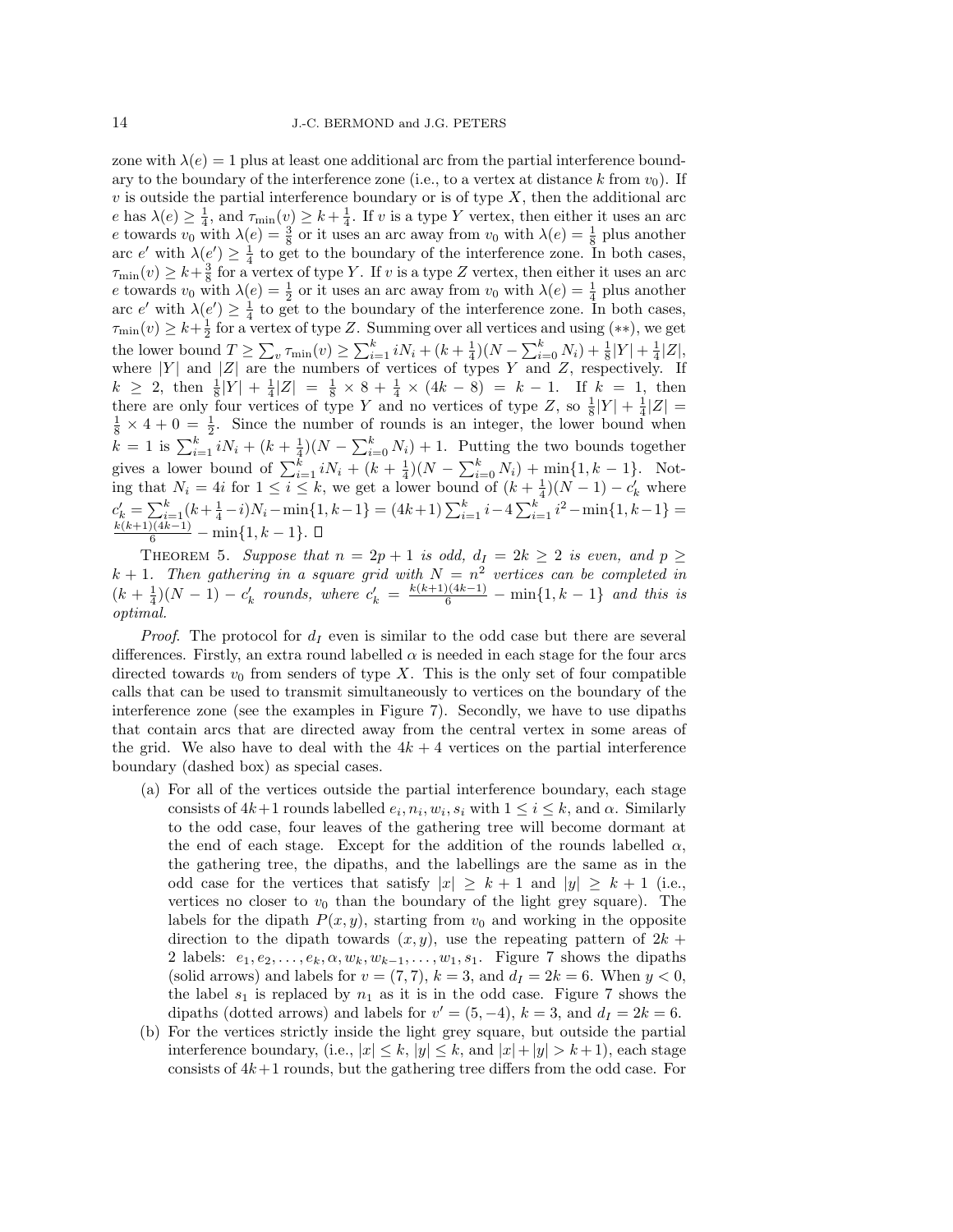zone with  $\lambda(e) = 1$  plus at least one additional arc from the partial interference boundary to the boundary of the interference zone (i.e., to a vertex at distance k from  $v_0$ ). If  $v$  is outside the partial interference boundary or is of type  $X$ , then the additional arc e has  $\lambda(e) \geq \frac{1}{4}$ , and  $\tau_{\min}(v) \geq k + \frac{1}{4}$ . If v is a type Y vertex, then either it uses an arc e towards  $v_0$  with  $\lambda(e) = \frac{3}{8}$  or it uses an arc away from  $v_0$  with  $\lambda(e) = \frac{1}{8}$  plus another arc e' with  $\lambda(e') \geq \frac{1}{4}$  to get to the boundary of the interference zone. In both cases,  $\tau_{\min}(v) \geq k + \frac{3}{8}$  for a vertex of type Y. If v is a type Z vertex, then either it uses an arc e towards  $v_0$  with  $\lambda(e) = \frac{1}{2}$  or it uses an arc away from  $v_0$  with  $\lambda(e) = \frac{1}{4}$  plus another arc e' with  $\lambda(e') \geq \frac{1}{4}$  to get to the boundary of the interference zone. In both cases,  $\tau_{\min}(v) \geq k + \frac{1}{2}$  for a vertex of type Z. Summing over all vertices and using  $(**)$ , we get the lower bound  $T \ge \sum_{v} \tau_{\min}(v) \ge \sum_{i=1}^{k} i N_i + (k + \frac{1}{4})(N - \sum_{i=0}^{k} N_i) + \frac{1}{8}|Y| + \frac{1}{4}|Z|,$ where  $|Y|$  and  $|Z|$  are the numbers of vertices of types Y and Z, respectively. If  $k \geq 2$ , then  $\frac{1}{8}|Y| + \frac{1}{4}|Z| = \frac{1}{8} \times 8 + \frac{1}{4} \times (4k - 8) = k - 1$ . If  $k = 1$ , then there are only four vertices of type Y and no vertices of type Z, so  $\frac{1}{8}|Y| + \frac{1}{4}|Z| =$  $\frac{1}{8} \times 4 + 0 = \frac{1}{2}$ . Since the number of rounds is an integer, the lower bound when  $k = 1$  is  $\sum_{i=1}^{k} iN_i + (k + \frac{1}{4})(N - \sum_{i=0}^{k} N_i) + 1$ . Putting the two bounds together gives a lower bound of  $\sum_{i=1}^{k} iN_i + (k + \frac{1}{4})(N - \sum_{i=0}^{k} N_i) + \min_{i} \{1, k - 1\}$ . Noting that  $N_i = 4i$  for  $1 \leq i \leq k$ , we get a lower bound of  $(k + \frac{1}{4})(N - 1) - c'_k$  where  $c'_k = \sum_{i=1}^k (k + \frac{1}{4} - i)N_i - \min\{1, k-1\} = (4k+1)\sum_{i=1}^k i - 4\sum_{i=1}^k i^2 - \min\{1, k-1\} =$  $\frac{k(k+1)(4k-1)}{6}$  – min{1, k – 1}.

THEOREM 5. Suppose that  $n = 2p + 1$  is odd,  $d_I = 2k \geq 2$  is even, and  $p \geq$  $k + 1$ . Then gathering in a square grid with  $N = n^2$  vertices can be completed in  $(k + \frac{1}{4})(N - 1) - c'_k$  rounds, where  $c'_k = \frac{k(k+1)(4k-1)}{6} - \min\{1, k-1\}$  and this is optimal.

*Proof.* The protocol for  $d_I$  even is similar to the odd case but there are several differences. Firstly, an extra round labelled  $\alpha$  is needed in each stage for the four arcs directed towards  $v_0$  from senders of type X. This is the only set of four compatible calls that can be used to transmit simultaneously to vertices on the boundary of the interference zone (see the examples in Figure 7). Secondly, we have to use dipaths that contain arcs that are directed away from the central vertex in some areas of the grid. We also have to deal with the  $4k + 4$  vertices on the partial interference boundary (dashed box) as special cases.

- (a) For all of the vertices outside the partial interference boundary, each stage consists of  $4k+1$  rounds labelled  $e_i, n_i, w_i, s_i$  with  $1 \leq i \leq k$ , and  $\alpha$ . Similarly to the odd case, four leaves of the gathering tree will become dormant at the end of each stage. Except for the addition of the rounds labelled  $\alpha$ , the gathering tree, the dipaths, and the labellings are the same as in the odd case for the vertices that satisfy  $|x| > k+1$  and  $|y| > k+1$  (i.e., vertices no closer to  $v_0$  than the boundary of the light grey square). The labels for the dipath  $P(x, y)$ , starting from  $v_0$  and working in the opposite direction to the dipath towards  $(x, y)$ , use the repeating pattern of  $2k +$ 2 labels:  $e_1, e_2, \ldots, e_k, \alpha, w_k, w_{k-1}, \ldots, w_1, s_1$ . Figure 7 shows the dipaths (solid arrows) and labels for  $v = (7, 7)$ ,  $k = 3$ , and  $d<sub>I</sub> = 2k = 6$ . When  $y < 0$ , the label  $s_1$  is replaced by  $n_1$  as it is in the odd case. Figure 7 shows the dipaths (dotted arrows) and labels for  $v' = (5, -4)$ ,  $k = 3$ , and  $d_I = 2k = 6$ .
- (b) For the vertices strictly inside the light grey square, but outside the partial interference boundary, (i.e.,  $|x| \leq k$ ,  $|y| \leq k$ , and  $|x|+|y| > k+1$ ), each stage consists of  $4k+1$  rounds, but the gathering tree differs from the odd case. For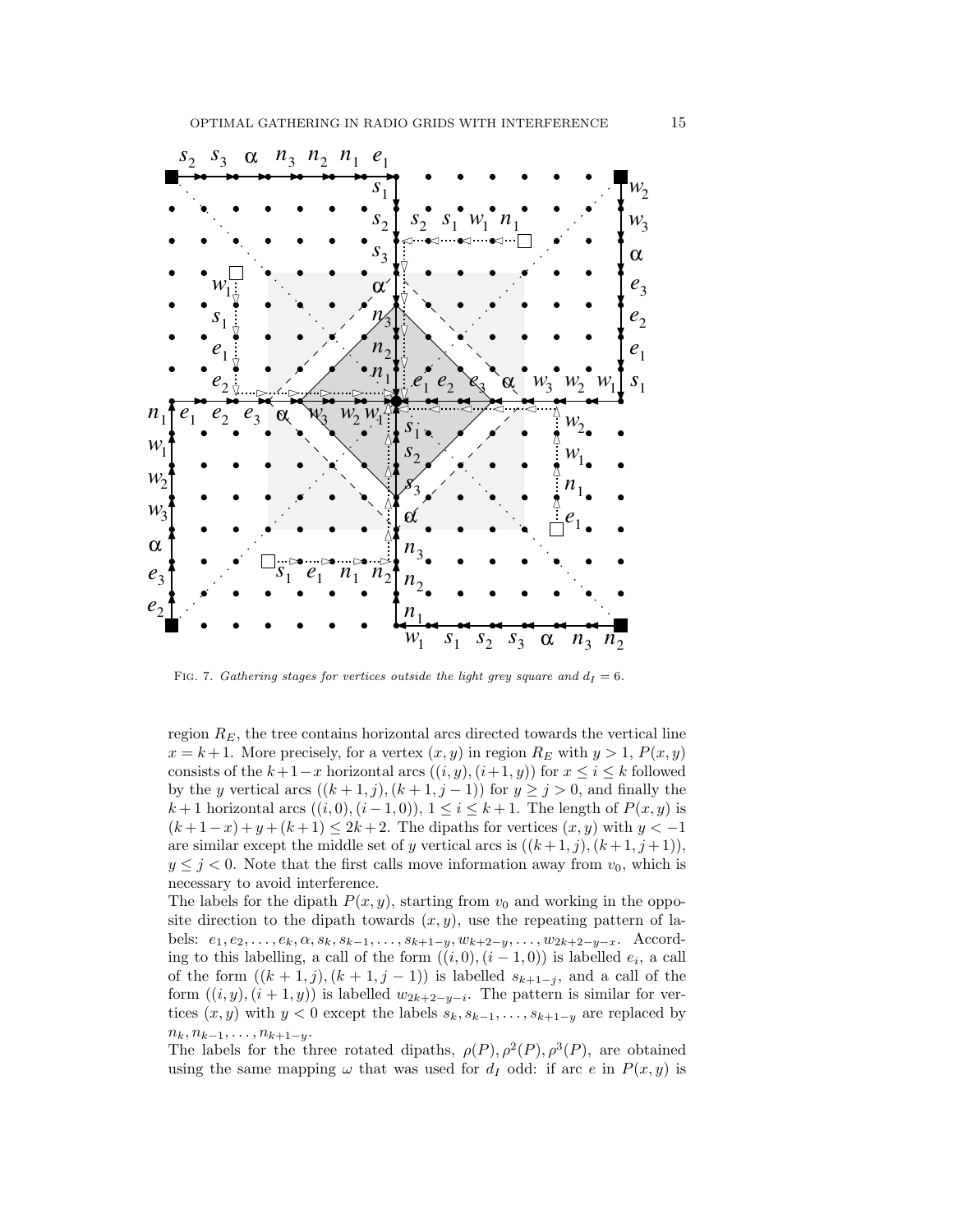

FIG. 7. Gathering stages for vertices outside the light grey square and  $d_I = 6$ .

region  $R_E$ , the tree contains horizontal arcs directed towards the vertical line  $x = k + 1$ . More precisely, for a vertex  $(x, y)$  in region  $R_E$  with  $y > 1$ ,  $P(x, y)$ consists of the  $k+1-x$  horizontal arcs  $((i, y), (i+1, y))$  for  $x \le i \le k$  followed by the y vertical arcs  $((k + 1, j), (k + 1, j - 1))$  for  $y \ge j > 0$ , and finally the k + 1 horizontal arcs  $((i, 0), (i - 1, 0)), 1 \leq i \leq k + 1$ . The length of  $P(x, y)$  is  $(k+1-x)+y+(k+1) \leq 2k+2$ . The dipaths for vertices  $(x, y)$  with  $y < -1$ are similar except the middle set of y vertical arcs is  $((k+1,j),(k+1,j+1)),$  $y \leq j < 0$ . Note that the first calls move information away from  $v_0$ , which is necessary to avoid interference.

The labels for the dipath  $P(x, y)$ , starting from  $v_0$  and working in the opposite direction to the dipath towards  $(x, y)$ , use the repeating pattern of labels:  $e_1, e_2, \ldots, e_k, \alpha, s_k, s_{k-1}, \ldots, s_{k+1-y}, w_{k+2-y}, \ldots, w_{2k+2-y-x}.$  According to this labelling, a call of the form  $((i,0), (i-1,0))$  is labelled  $e_i$ , a call of the form  $((k + 1, j), (k + 1, j - 1))$  is labelled  $s_{k+1-j}$ , and a call of the form  $((i, y), (i + 1, y))$  is labelled  $w_{2k+2-y-i}$ . The pattern is similar for vertices  $(x, y)$  with  $y < 0$  except the labels  $s_k, s_{k-1}, \ldots, s_{k+1-y}$  are replaced by  $n_k, n_{k-1}, \ldots, n_{k+1-y}.$ 

The labels for the three rotated dipaths,  $\rho(P)$ ,  $\rho^2(P)$ ,  $\rho^3(P)$ , are obtained using the same mapping  $\omega$  that was used for  $d_I$  odd: if arc e in  $P(x, y)$  is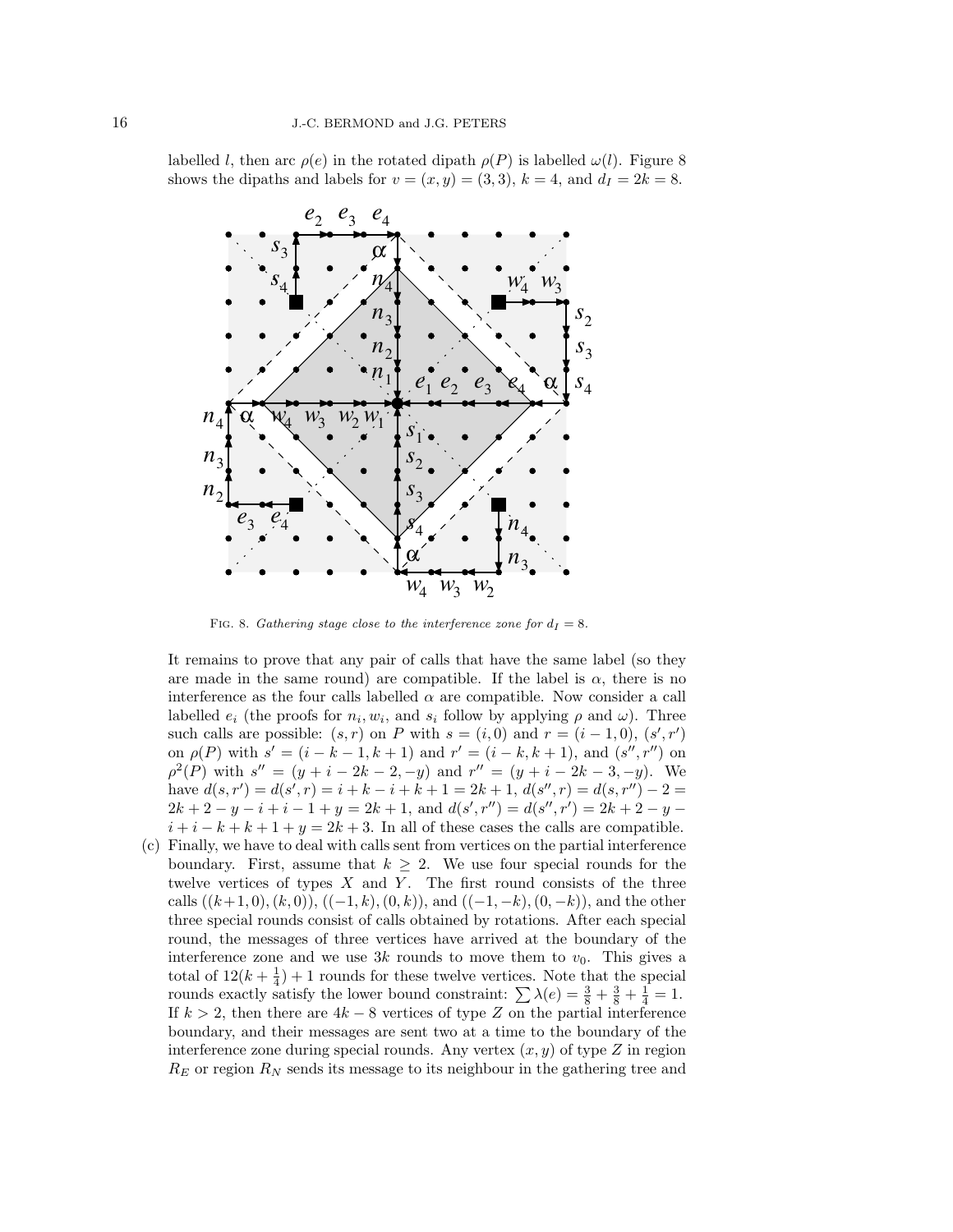labelled *l*, then arc  $\rho(e)$  in the rotated dipath  $\rho(P)$  is labelled  $\omega(l)$ . Figure 8 shows the dipaths and labels for  $v = (x, y) = (3, 3), k = 4$ , and  $d_I = 2k = 8$ .



FIG. 8. Gathering stage close to the interference zone for  $d_I = 8$ .

It remains to prove that any pair of calls that have the same label (so they are made in the same round) are compatible. If the label is  $\alpha$ , there is no interference as the four calls labelled  $\alpha$  are compatible. Now consider a call labelled  $e_i$  (the proofs for  $n_i, w_i$ , and  $s_i$  follow by applying  $\rho$  and  $\omega$ ). Three such calls are possible:  $(s, r)$  on P with  $s = (i, 0)$  and  $r = (i - 1, 0)$ ,  $(s', r')$ on  $\rho(P)$  with  $s' = (i - k - 1, k + 1)$  and  $r' = (i - k, k + 1)$ , and  $(s'', r'')$  on  $\rho^2(P)$  with  $s'' = (y + i - 2k - 2, -y)$  and  $r'' = (y + i - 2k - 3, -y)$ . We have  $d(s, r') = d(s', r) = i + k - i + k + 1 = 2k + 1, d(s'', r) = d(s, r'') - 2 =$  $2k+2-y-i+i-1+y=2k+1$ , and  $d(s',r'') = d(s'',r') = 2k+2-y$  $i + i - k + k + 1 + y = 2k + 3$ . In all of these cases the calls are compatible.

(c) Finally, we have to deal with calls sent from vertices on the partial interference boundary. First, assume that  $k \geq 2$ . We use four special rounds for the twelve vertices of types  $X$  and  $Y$ . The first round consists of the three calls  $((k+1, 0), (k, 0)), ((-1, k), (0, k)),$  and  $((-1, -k), (0, -k)),$  and the other three special rounds consist of calls obtained by rotations. After each special round, the messages of three vertices have arrived at the boundary of the interference zone and we use 3k rounds to move them to  $v_0$ . This gives a total of  $12(k+\frac{1}{4})+1$  rounds for these twelve vertices. Note that the special rounds exactly satisfy the lower bound constraint:  $\sum \lambda(e) = \frac{3}{8} + \frac{3}{8} + \frac{1}{4} = 1$ . If  $k > 2$ , then there are  $4k - 8$  vertices of type Z on the partial interference boundary, and their messages are sent two at a time to the boundary of the interference zone during special rounds. Any vertex  $(x, y)$  of type Z in region  $R_E$  or region  $R_N$  sends its message to its neighbour in the gathering tree and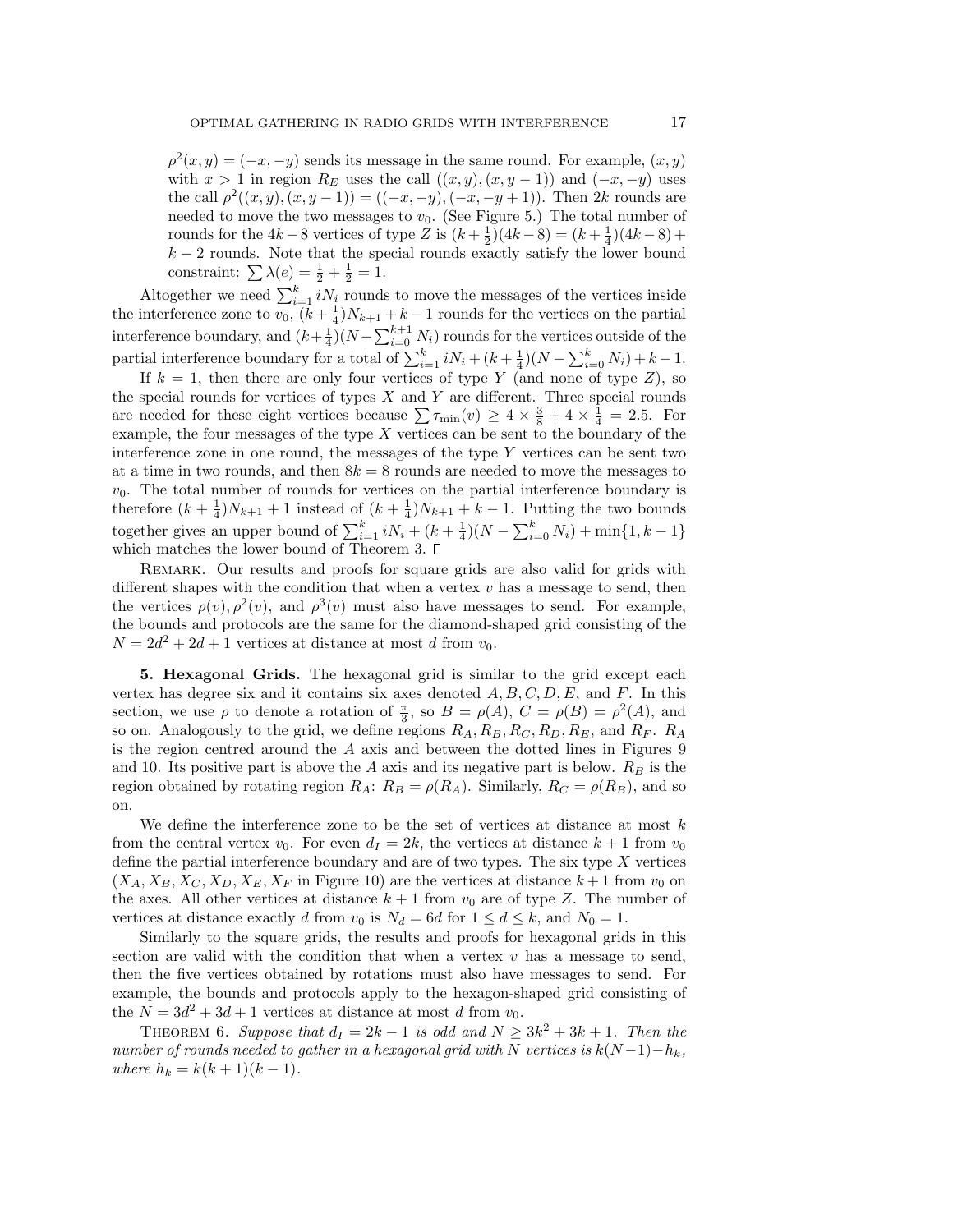$\rho^2(x,y) = (-x,-y)$  sends its message in the same round. For example,  $(x,y)$ with  $x > 1$  in region  $R_E$  uses the call  $((x, y), (x, y - 1))$  and  $(-x, -y)$  uses the call  $\rho^2((x,y),(x,y-1)) = ((-x,-y),(-x,-y+1))$ . Then 2k rounds are needed to move the two messages to  $v_0$ . (See Figure 5.) The total number of rounds for the  $4k - 8$  vertices of type Z is  $(k + \frac{1}{2})(4k - 8) = (k + \frac{1}{4})(4k - 8) +$  $k-2$  rounds. Note that the special rounds exactly satisfy the lower bound constraint:  $\sum \lambda(e) = \frac{1}{2} + \frac{1}{2} = 1.$ 

Altogether we need  $\sum_{i=1}^{k} i N_i$  rounds to move the messages of the vertices inside the interference zone to  $v_0$ ,  $(k+\frac{1}{4})N_{k+1} + k-1$  rounds for the vertices on the partial interference boundary, and  $(k+\frac{1}{4})(N-\sum_{i=0}^{k+1} N_i)$  rounds for the vertices outside of the partial interference boundary for a total of  $\sum_{i=1}^{k} iN_i + (k + \frac{1}{4})(N - \sum_{i=0}^{k} N_i) + k - 1$ .

If  $k = 1$ , then there are only four vertices of type Y (and none of type Z), so the special rounds for vertices of types  $X$  and  $Y$  are different. Three special rounds are needed for these eight vertices because  $\sum \tau_{\min}(v) \ge 4 \times \frac{3}{8} + 4 \times \frac{1}{4} = 2.5$ . For example, the four messages of the type  $X$  vertices can be sent to the boundary of the interference zone in one round, the messages of the type  $Y$  vertices can be sent two at a time in two rounds, and then  $8k = 8$  rounds are needed to move the messages to  $v_0$ . The total number of rounds for vertices on the partial interference boundary is therefore  $(k+\frac{1}{4})N_{k+1}+1$  instead of  $(k+\frac{1}{4})N_{k+1}+k-1$ . Putting the two bounds together gives an upper bound of  $\sum_{i=1}^{k} iN_i + (k + \frac{1}{4})(N - \sum_{i=0}^{k} N_i) + \min\{1, k - 1\}$ which matches the lower bound of Theorem 3.  $\square$ 

REMARK. Our results and proofs for square grids are also valid for grids with different shapes with the condition that when a vertex  $v$  has a message to send, then the vertices  $\rho(v)$ ,  $\rho^2(v)$ , and  $\rho^3(v)$  must also have messages to send. For example, the bounds and protocols are the same for the diamond-shaped grid consisting of the  $N = 2d^2 + 2d + 1$  vertices at distance at most d from  $v_0$ .

5. Hexagonal Grids. The hexagonal grid is similar to the grid except each vertex has degree six and it contains six axes denoted  $A, B, C, D, E$ , and F. In this section, we use  $\rho$  to denote a rotation of  $\frac{\pi}{3}$ , so  $B = \rho(A)$ ,  $C = \rho(B) = \rho^2(A)$ , and so on. Analogously to the grid, we define regions  $R_A, R_B, R_C, R_D, R_E$ , and  $R_F$ .  $R_A$ is the region centred around the  $A$  axis and between the dotted lines in Figures 9 and 10. Its positive part is above the  $A$  axis and its negative part is below.  $R_B$  is the region obtained by rotating region  $R_A$ :  $R_B = \rho(R_A)$ . Similarly,  $R_C = \rho(R_B)$ , and so on.

We define the interference zone to be the set of vertices at distance at most  $k$ from the central vertex  $v_0$ . For even  $d_I = 2k$ , the vertices at distance  $k + 1$  from  $v_0$ define the partial interference boundary and are of two types. The six type  $X$  vertices  $(X_A, X_B, X_C, X_D, X_E, X_F)$  in Figure 10) are the vertices at distance  $k+1$  from  $v_0$  on the axes. All other vertices at distance  $k + 1$  from  $v_0$  are of type Z. The number of vertices at distance exactly d from  $v_0$  is  $N_d = 6d$  for  $1 \le d \le k$ , and  $N_0 = 1$ .

Similarly to the square grids, the results and proofs for hexagonal grids in this section are valid with the condition that when a vertex  $v$  has a message to send, then the five vertices obtained by rotations must also have messages to send. For example, the bounds and protocols apply to the hexagon-shaped grid consisting of the  $N = 3d^2 + 3d + 1$  vertices at distance at most d from  $v_0$ .

THEOREM 6. Suppose that  $d_I = 2k - 1$  is odd and  $N \geq 3k^2 + 3k + 1$ . Then the number of rounds needed to gather in a hexagonal grid with N vertices is  $k(N-1)-h_k$ , where  $h_k = k(k+1)(k-1)$ .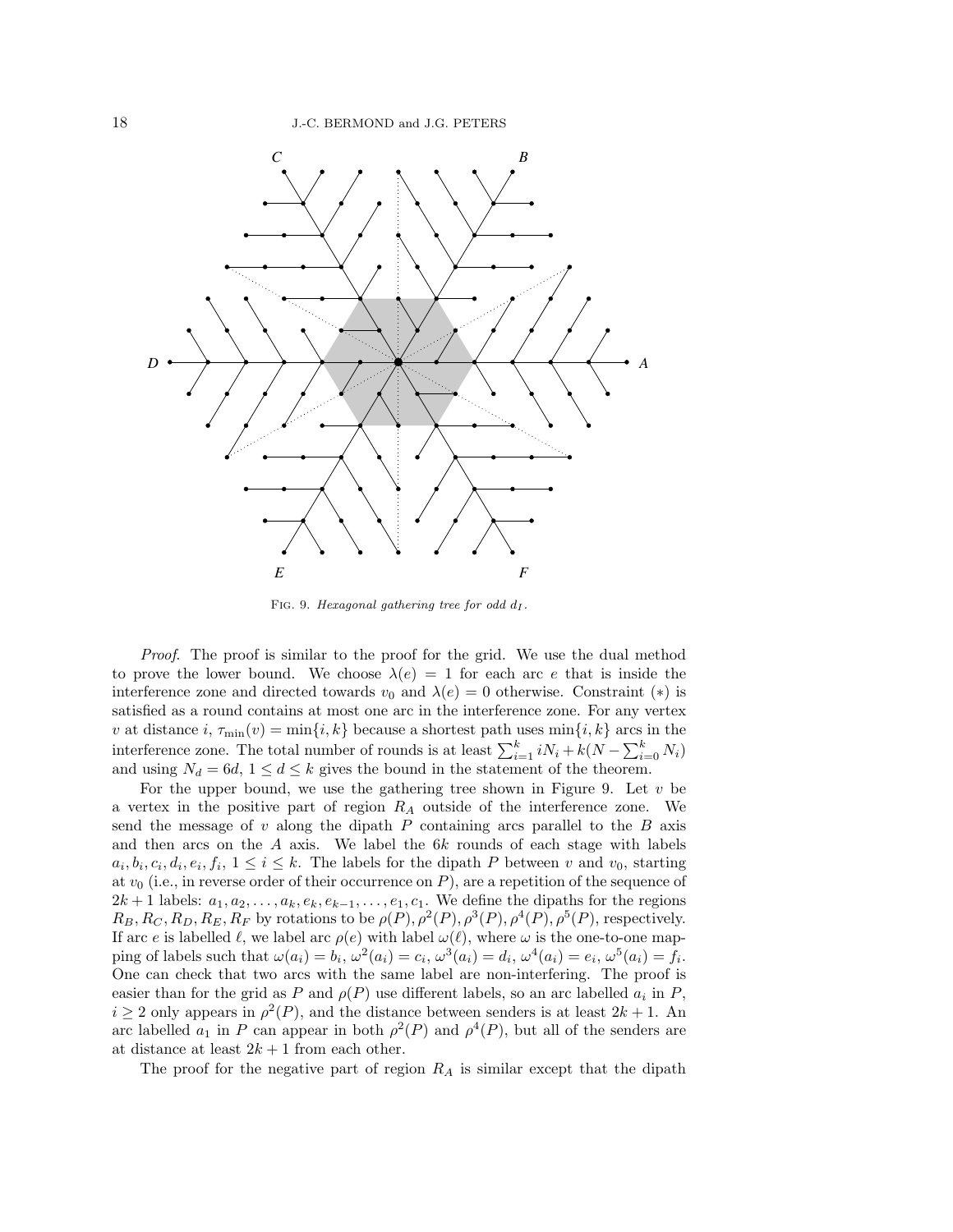

FIG. 9. Hexagonal gathering tree for odd  $d_I$ .

Proof. The proof is similar to the proof for the grid. We use the dual method to prove the lower bound. We choose  $\lambda(e) = 1$  for each arc e that is inside the interference zone and directed towards  $v_0$  and  $\lambda(e) = 0$  otherwise. Constraint (\*) is satisfied as a round contains at most one arc in the interference zone. For any vertex v at distance  $i, \tau_{\min}(v) = \min\{i, k\}$  because a shortest path uses  $\min\{i, k\}$  arcs in the interference zone. The total number of rounds is at least  $\sum_{i=1}^{k} iN_i + k(N - \sum_{i=0}^{k} N_i)$ and using  $N_d = 6d, 1 \leq d \leq k$  gives the bound in the statement of the theorem.

For the upper bound, we use the gathering tree shown in Figure 9. Let  $v$  be a vertex in the positive part of region  $R_A$  outside of the interference zone. We send the message of  $v$  along the dipath  $P$  containing arcs parallel to the  $B$  axis and then arcs on the  $A$  axis. We label the  $6k$  rounds of each stage with labels  $a_i, b_i, c_i, d_i, e_i, f_i, 1 \leq i \leq k$ . The labels for the dipath P between v and  $v_0$ , starting at  $v_0$  (i.e., in reverse order of their occurrence on P), are a repetition of the sequence of  $2k + 1$  labels:  $a_1, a_2, \ldots, a_k, e_k, e_{k-1}, \ldots, e_1, c_1$ . We define the dipaths for the regions  $R_B, R_C, R_D, R_E, R_F$  by rotations to be  $\rho(P), \rho^2(P), \rho^3(P), \rho^4(P), \rho^5(P)$ , respectively. If arc e is labelled  $\ell$ , we label arc  $\rho(e)$  with label  $\omega(\ell)$ , where  $\omega$  is the one-to-one mapping of labels such that  $\omega(a_i) = b_i$ ,  $\omega^2(a_i) = c_i$ ,  $\omega^3(a_i) = d_i$ ,  $\omega^4(a_i) = e_i$ ,  $\omega^5(a_i) = f_i$ . One can check that two arcs with the same label are non-interfering. The proof is easier than for the grid as P and  $\rho(P)$  use different labels, so an arc labelled  $a_i$  in P,  $i \geq 2$  only appears in  $\rho^2(P)$ , and the distance between senders is at least  $2k + 1$ . An arc labelled  $a_1$  in P can appear in both  $\rho^2(P)$  and  $\rho^4(P)$ , but all of the senders are at distance at least  $2k + 1$  from each other.

The proof for the negative part of region  $R_A$  is similar except that the dipath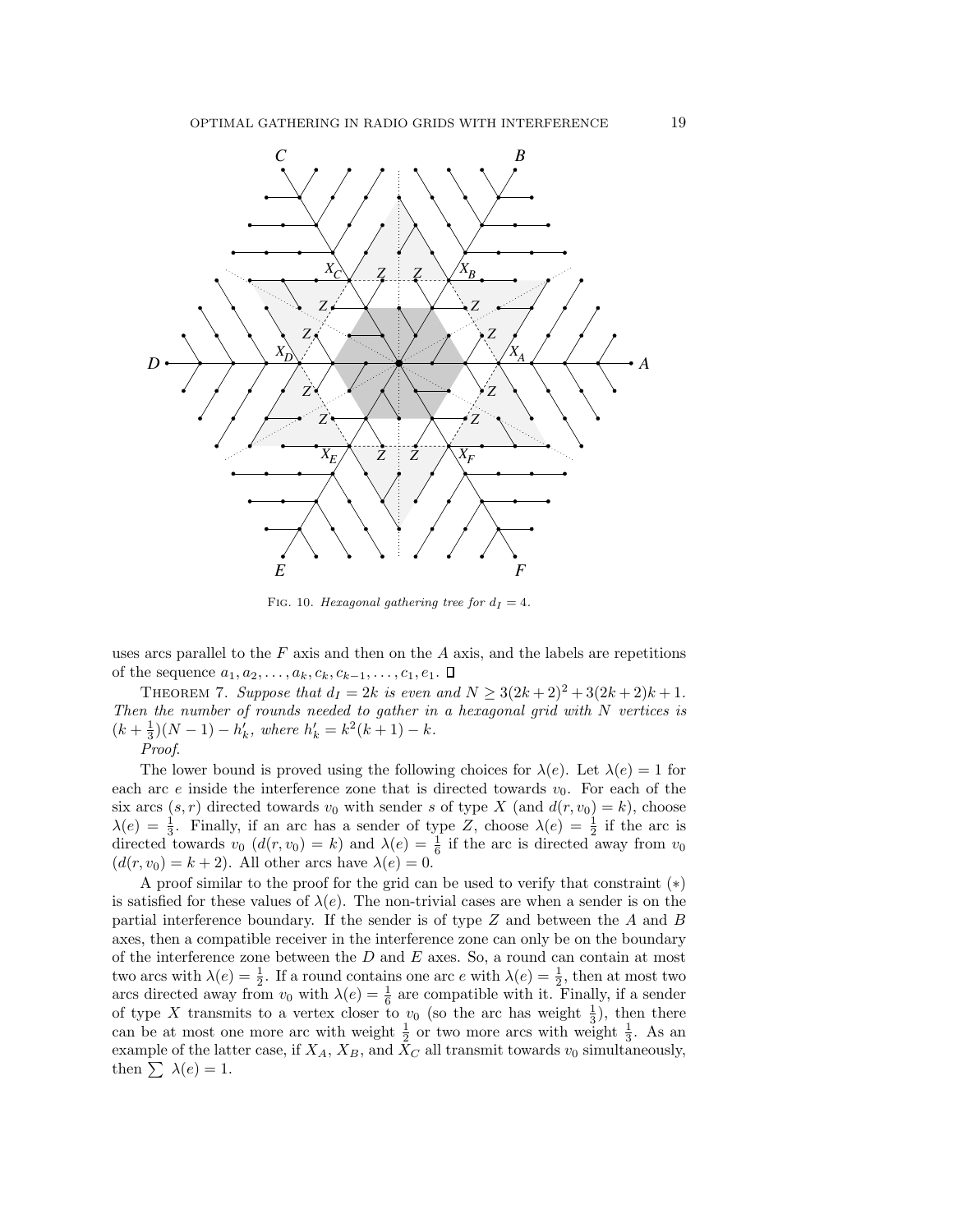

FIG. 10. Hexagonal gathering tree for  $d_I = 4$ .

uses arcs parallel to the  $F$  axis and then on the  $A$  axis, and the labels are repetitions of the sequence  $a_1, a_2, \ldots, a_k, c_k, c_{k-1}, \ldots, c_1, e_1$ .  $\Box$ 

THEOREM 7. Suppose that  $d_I = 2k$  is even and  $N \geq 3(2k+2)^2 + 3(2k+2)k + 1$ . Then the number of rounds needed to gather in a hexagonal grid with N vertices is  $(k+\frac{1}{3})(N-1) - h'_k$ , where  $h'_k = k^2(k+1) - k$ .

Proof.

The lower bound is proved using the following choices for  $\lambda(e)$ . Let  $\lambda(e) = 1$  for each arc e inside the interference zone that is directed towards  $v_0$ . For each of the six arcs  $(s, r)$  directed towards  $v_0$  with sender s of type X (and  $d(r, v_0) = k$ ), choose  $\lambda(e) = \frac{1}{3}$ . Finally, if an arc has a sender of type Z, choose  $\lambda(e) = \frac{1}{2}$  if the arc is directed towards  $v_0$   $(d(r, v_0) = k)$  and  $\lambda(e) = \frac{1}{6}$  if the arc is directed away from  $v_0$  $(d(r, v_0) = k + 2)$ . All other arcs have  $\lambda(e) = 0$ .

A proof similar to the proof for the grid can be used to verify that constraint  $(*)$ is satisfied for these values of  $\lambda(e)$ . The non-trivial cases are when a sender is on the partial interference boundary. If the sender is of type Z and between the A and B axes, then a compatible receiver in the interference zone can only be on the boundary of the interference zone between the  $D$  and  $E$  axes. So, a round can contain at most two arcs with  $\lambda(e) = \frac{1}{2}$ . If a round contains one arc e with  $\lambda(e) = \frac{1}{2}$ , then at most two arcs directed away from  $v_0$  with  $\lambda(e) = \frac{1}{6}$  are compatible with it. Finally, if a sender of type X transmits to a vertex closer to  $v_0$  (so the arc has weight  $\frac{1}{3}$ ), then there can be at most one more arc with weight  $\frac{1}{2}$  or two more arcs with weight  $\frac{1}{3}$ . As an example of the latter case, if  $X_A$ ,  $X_B$ , and  $X_C$  all transmit towards  $v_0$  simultaneously, then  $\sum \lambda(e) = 1$ .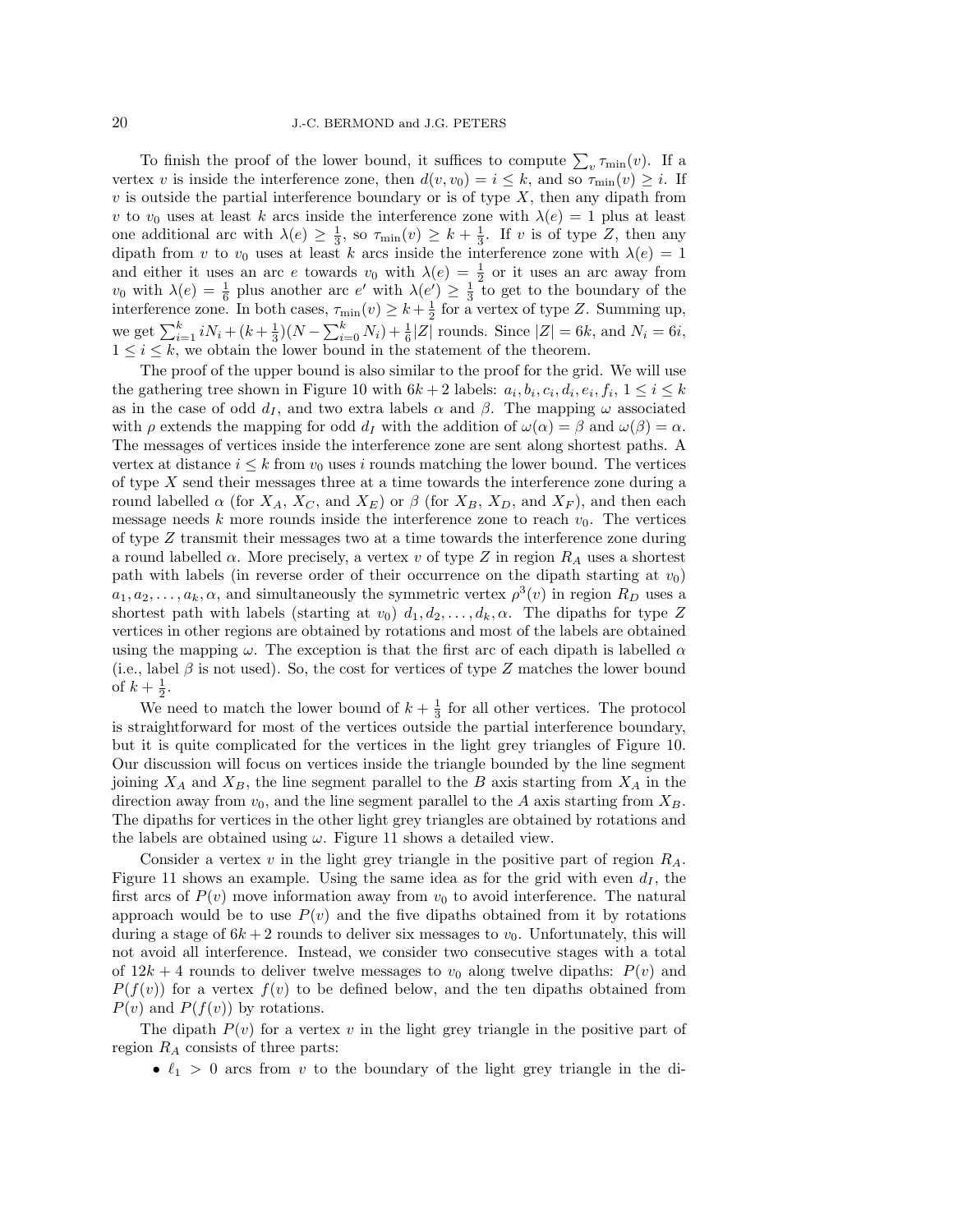To finish the proof of the lower bound, it suffices to compute  $\sum_{v} \tau_{\min}(v)$ . If a vertex v is inside the interference zone, then  $d(v, v_0) = i \leq k$ , and so  $\tau_{\min}(v) \geq i$ . If  $v$  is outside the partial interference boundary or is of type  $X$ , then any dipath from v to  $v_0$  uses at least k arcs inside the interference zone with  $\lambda(e) = 1$  plus at least one additional arc with  $\lambda(e) \geq \frac{1}{3}$ , so  $\tau_{\min}(v) \geq k + \frac{1}{3}$ . If v is of type Z, then any dipath from v to  $v_0$  uses at least k arcs inside the interference zone with  $\lambda(e) = 1$ and either it uses an arc e towards  $v_0$  with  $\lambda(e) = \frac{1}{2}$  or it uses an arc away from  $v_0$  with  $\lambda(e) = \frac{1}{6}$  plus another arc  $e'$  with  $\lambda(e') \geq \frac{1}{3}$  to get to the boundary of the by with  $\lambda(c) = \frac{1}{6}$  plus another are c with  $\lambda(c) \geq \frac{1}{3}$  to get to the boundary of the interference zone. In both cases,  $\tau_{min}(v) \geq k + \frac{1}{2}$  for a vertex of type Z. Summing up, we get  $\sum_{i=1}^{k} iN_i + (k + \frac{1}{3})(N - \sum_{i=0}^{k} N_i) + \frac{1}{6}|Z|$  rounds. Since  $|Z| = 6k$ , and  $N_i = 6i$ ,  $1 \leq i \leq k$ , we obtain the lower bound in the statement of the theorem.

The proof of the upper bound is also similar to the proof for the grid. We will use the gathering tree shown in Figure 10 with  $6k + 2$  labels:  $a_i, b_i, c_i, d_i, e_i, f_i, 1 \le i \le k$ as in the case of odd  $d_I$ , and two extra labels  $\alpha$  and  $\beta$ . The mapping  $\omega$  associated with  $\rho$  extends the mapping for odd  $d_I$  with the addition of  $\omega(\alpha) = \beta$  and  $\omega(\beta) = \alpha$ . The messages of vertices inside the interference zone are sent along shortest paths. A vertex at distance  $i \leq k$  from  $v_0$  uses i rounds matching the lower bound. The vertices of type X send their messages three at a time towards the interference zone during a round labelled  $\alpha$  (for  $X_A$ ,  $X_C$ , and  $X_E$ ) or  $\beta$  (for  $X_B$ ,  $X_D$ , and  $X_F$ ), and then each message needs k more rounds inside the interference zone to reach  $v_0$ . The vertices of type Z transmit their messages two at a time towards the interference zone during a round labelled  $\alpha$ . More precisely, a vertex v of type Z in region  $R_A$  uses a shortest path with labels (in reverse order of their occurrence on the dipath starting at  $v_0$ )  $a_1, a_2, \ldots, a_k, \alpha$ , and simultaneously the symmetric vertex  $\rho^3(v)$  in region  $R_D$  uses a shortest path with labels (starting at  $v_0$ )  $d_1, d_2, \ldots, d_k, \alpha$ . The dipaths for type Z vertices in other regions are obtained by rotations and most of the labels are obtained using the mapping  $\omega$ . The exception is that the first arc of each dipath is labelled  $\alpha$ (i.e., label  $\beta$  is not used). So, the cost for vertices of type Z matches the lower bound of  $k + \frac{1}{2}$ .

We need to match the lower bound of  $k + \frac{1}{3}$  for all other vertices. The protocol is straightforward for most of the vertices outside the partial interference boundary, but it is quite complicated for the vertices in the light grey triangles of Figure 10. Our discussion will focus on vertices inside the triangle bounded by the line segment joining  $X_A$  and  $X_B$ , the line segment parallel to the B axis starting from  $X_A$  in the direction away from  $v_0$ , and the line segment parallel to the A axis starting from  $X_B$ . The dipaths for vertices in the other light grey triangles are obtained by rotations and the labels are obtained using  $\omega$ . Figure 11 shows a detailed view.

Consider a vertex v in the light grey triangle in the positive part of region  $R_A$ . Figure 11 shows an example. Using the same idea as for the grid with even  $d_I$ , the first arcs of  $P(v)$  move information away from  $v_0$  to avoid interference. The natural approach would be to use  $P(v)$  and the five dipaths obtained from it by rotations during a stage of  $6k + 2$  rounds to deliver six messages to  $v_0$ . Unfortunately, this will not avoid all interference. Instead, we consider two consecutive stages with a total of  $12k + 4$  rounds to deliver twelve messages to  $v_0$  along twelve dipaths:  $P(v)$  and  $P(f(v))$  for a vertex  $f(v)$  to be defined below, and the ten dipaths obtained from  $P(v)$  and  $P(f(v))$  by rotations.

The dipath  $P(v)$  for a vertex v in the light grey triangle in the positive part of region  $R_A$  consists of three parts:

•  $\ell_1 > 0$  arcs from v to the boundary of the light grey triangle in the di-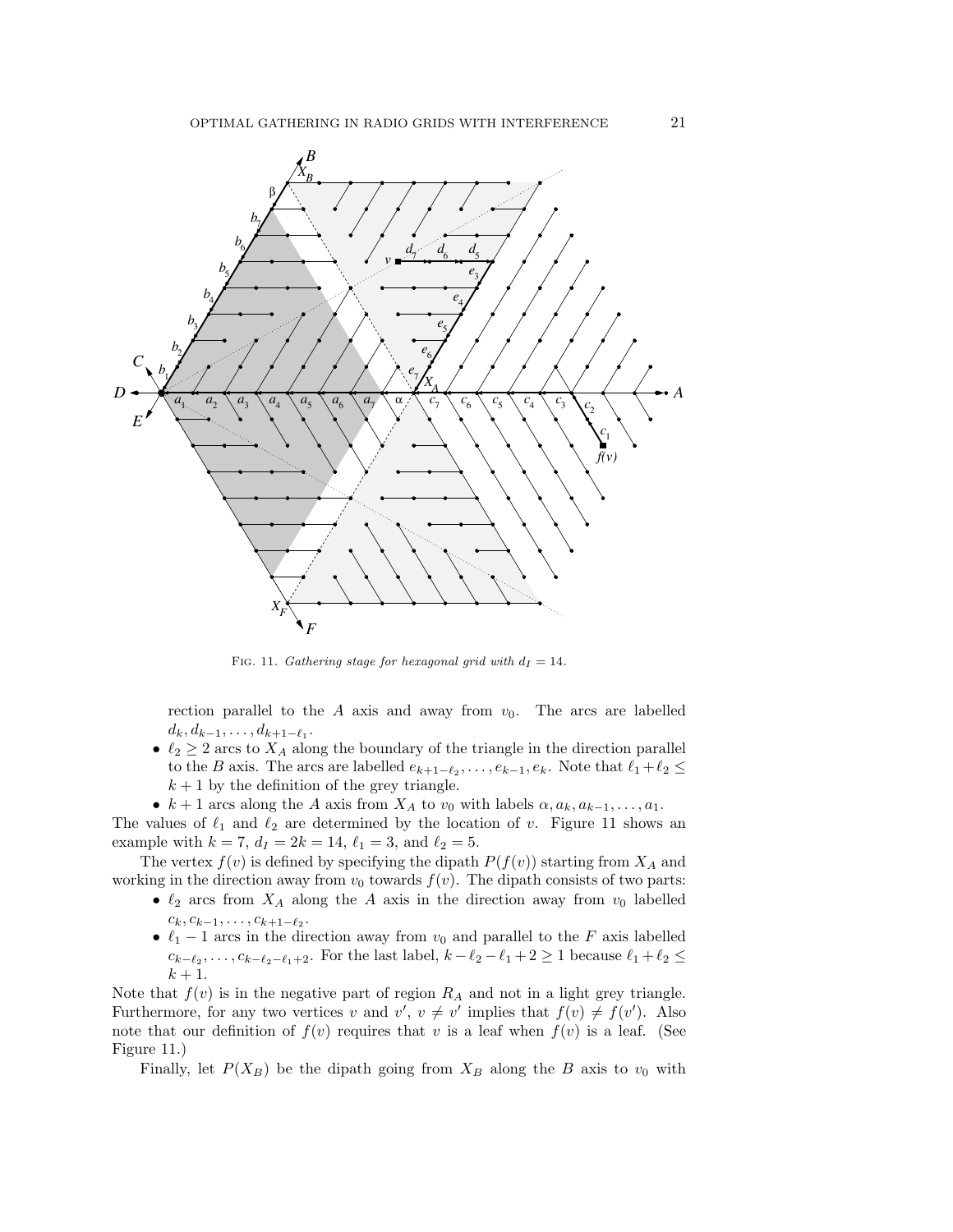

FIG. 11. Gathering stage for hexagonal grid with  $d_I = 14$ .

rection parallel to the A axis and away from  $v_0$ . The arcs are labelled  $d_k, d_{k-1}, \ldots, d_{k+1-\ell_1}.$ 

- $\ell_2 \geq 2$  arcs to  $X_A$  along the boundary of the triangle in the direction parallel to the B axis. The arcs are labelled  $e_{k+1-\ell_2}, \ldots, e_{k-1}, e_k$ . Note that  $\ell_1 + \ell_2 \leq$  $k + 1$  by the definition of the grey triangle.
- $k+1$  arcs along the A axis from  $X_A$  to  $v_0$  with labels  $\alpha, a_k, a_{k-1}, \ldots, a_1$ .

The values of  $\ell_1$  and  $\ell_2$  are determined by the location of v. Figure 11 shows an example with  $k = 7$ ,  $d_I = 2k = 14$ ,  $\ell_1 = 3$ , and  $\ell_2 = 5$ .

The vertex  $f(v)$  is defined by specifying the dipath  $P(f(v))$  starting from  $X_A$  and working in the direction away from  $v_0$  towards  $f(v)$ . The dipath consists of two parts:

- $\ell_2$  arcs from  $X_A$  along the A axis in the direction away from  $v_0$  labelled  $c_k, c_{k-1}, \ldots, c_{k+1-\ell_2}.$
- $\ell_1 1$  arcs in the direction away from  $v_0$  and parallel to the F axis labelled  $c_{k-\ell_2}, \ldots, c_{k-\ell_2-\ell_1+2}$ . For the last label,  $k-\ell_2-\ell_1+2 \geq 1$  because  $\ell_1+\ell_2 \leq$  $k+1$ .

Note that  $f(v)$  is in the negative part of region  $R_A$  and not in a light grey triangle. Furthermore, for any two vertices v and  $v'$ ,  $v \neq v'$  implies that  $f(v) \neq f(v')$ . Also note that our definition of  $f(v)$  requires that v is a leaf when  $f(v)$  is a leaf. (See Figure 11.)

Finally, let  $P(X_B)$  be the dipath going from  $X_B$  along the B axis to  $v_0$  with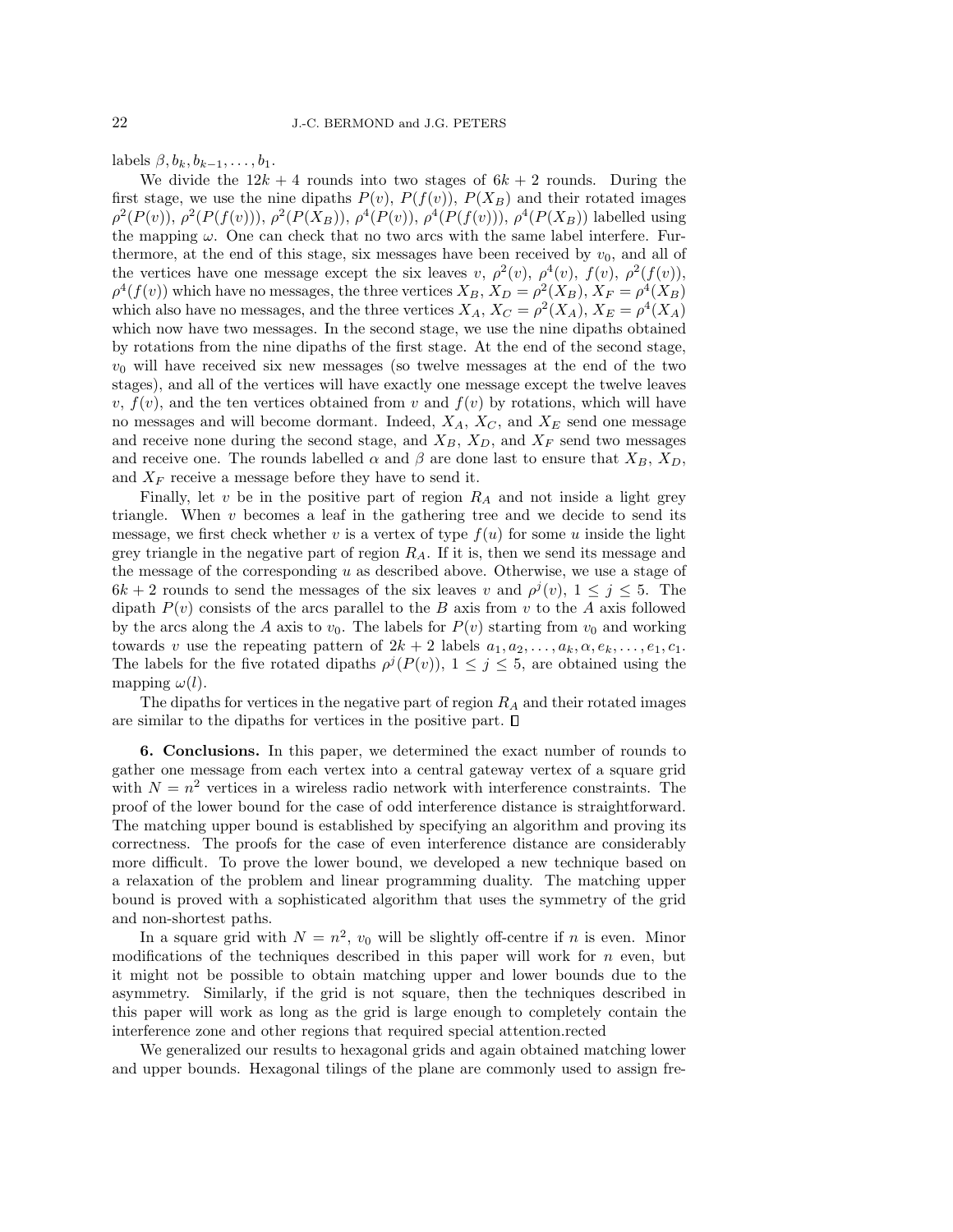labels  $\beta$ ,  $b_k$ ,  $b_{k-1}$ , ...,  $b_1$ .

We divide the  $12k + 4$  rounds into two stages of  $6k + 2$  rounds. During the first stage, we use the nine dipaths  $P(v)$ ,  $P(f(v))$ ,  $P(X_B)$  and their rotated images  $\rho^2(P(v)), \rho^2(P(f(v))), \rho^2(P(X_B)), \rho^4(P(v)), \rho^4(P(f(v))), \rho^4(P(X_B))$  labelled using the mapping  $\omega$ . One can check that no two arcs with the same label interfere. Furthermore, at the end of this stage, six messages have been received by  $v_0$ , and all of the vertices have one message except the six leaves v,  $\rho^2(v)$ ,  $\rho^4(v)$ ,  $f(v)$ ,  $\rho^2(f(v))$ ,  $\rho^4(f(v))$  which have no messages, the three vertices  $X_B, X_D = \rho^2(X_B), X_F = \rho^4(X_B)$ which also have no messages, and the three vertices  $X_A$ ,  $X_C = \rho^2(X_A)$ ,  $X_E = \rho^4(X_A)$ which now have two messages. In the second stage, we use the nine dipaths obtained by rotations from the nine dipaths of the first stage. At the end of the second stage,  $v_0$  will have received six new messages (so twelve messages at the end of the two stages), and all of the vertices will have exactly one message except the twelve leaves v,  $f(v)$ , and the ten vertices obtained from v and  $f(v)$  by rotations, which will have no messages and will become dormant. Indeed,  $X_A$ ,  $X_C$ , and  $X_E$  send one message and receive none during the second stage, and  $X_B$ ,  $X_D$ , and  $X_F$  send two messages and receive one. The rounds labelled  $\alpha$  and  $\beta$  are done last to ensure that  $X_B$ ,  $X_D$ , and  $X_F$  receive a message before they have to send it.

Finally, let  $v$  be in the positive part of region  $R_A$  and not inside a light grey triangle. When  $v$  becomes a leaf in the gathering tree and we decide to send its message, we first check whether v is a vertex of type  $f(u)$  for some u inside the light grey triangle in the negative part of region  $R_A$ . If it is, then we send its message and the message of the corresponding  $u$  as described above. Otherwise, we use a stage of  $6k + 2$  rounds to send the messages of the six leaves v and  $\rho^{j}(v)$ ,  $1 \leq j \leq 5$ . The dipath  $P(v)$  consists of the arcs parallel to the B axis from v to the A axis followed by the arcs along the A axis to  $v_0$ . The labels for  $P(v)$  starting from  $v_0$  and working towards v use the repeating pattern of  $2k + 2$  labels  $a_1, a_2, \ldots, a_k, \alpha, e_k, \ldots, e_1, c_1$ . The labels for the five rotated dipaths  $\rho^{j}(P(v))$ ,  $1 \leq j \leq 5$ , are obtained using the mapping  $\omega(l)$ .

The dipaths for vertices in the negative part of region  $R_A$  and their rotated images are similar to the dipaths for vertices in the positive part.  $\square$ 

6. Conclusions. In this paper, we determined the exact number of rounds to gather one message from each vertex into a central gateway vertex of a square grid with  $N = n^2$  vertices in a wireless radio network with interference constraints. The proof of the lower bound for the case of odd interference distance is straightforward. The matching upper bound is established by specifying an algorithm and proving its correctness. The proofs for the case of even interference distance are considerably more difficult. To prove the lower bound, we developed a new technique based on a relaxation of the problem and linear programming duality. The matching upper bound is proved with a sophisticated algorithm that uses the symmetry of the grid and non-shortest paths.

In a square grid with  $N = n^2$ ,  $v_0$  will be slightly off-centre if n is even. Minor modifications of the techniques described in this paper will work for  $n$  even, but it might not be possible to obtain matching upper and lower bounds due to the asymmetry. Similarly, if the grid is not square, then the techniques described in this paper will work as long as the grid is large enough to completely contain the interference zone and other regions that required special attention.rected

We generalized our results to hexagonal grids and again obtained matching lower and upper bounds. Hexagonal tilings of the plane are commonly used to assign fre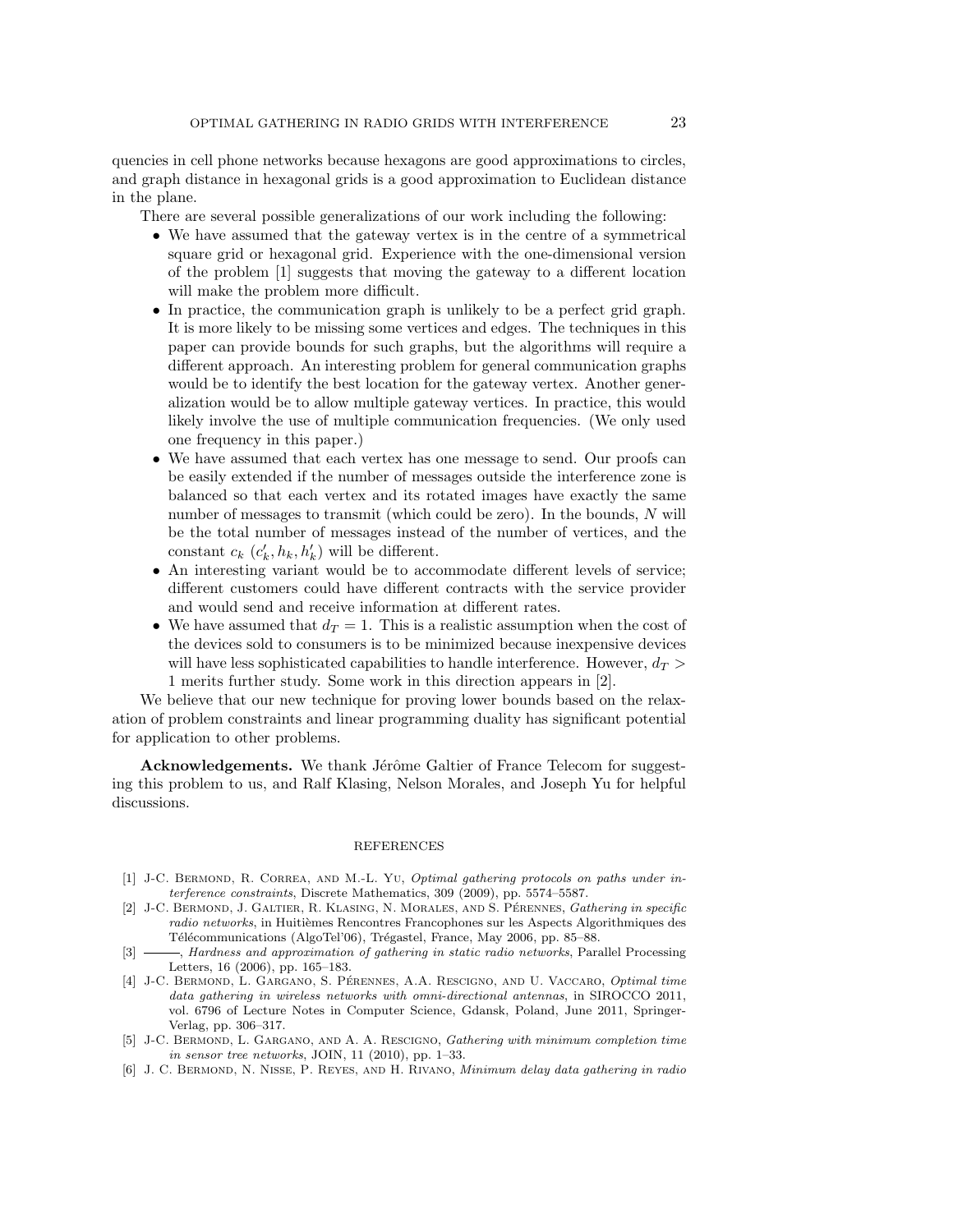quencies in cell phone networks because hexagons are good approximations to circles, and graph distance in hexagonal grids is a good approximation to Euclidean distance in the plane.

There are several possible generalizations of our work including the following:

- We have assumed that the gateway vertex is in the centre of a symmetrical square grid or hexagonal grid. Experience with the one-dimensional version of the problem [1] suggests that moving the gateway to a different location will make the problem more difficult.
- In practice, the communication graph is unlikely to be a perfect grid graph. It is more likely to be missing some vertices and edges. The techniques in this paper can provide bounds for such graphs, but the algorithms will require a different approach. An interesting problem for general communication graphs would be to identify the best location for the gateway vertex. Another generalization would be to allow multiple gateway vertices. In practice, this would likely involve the use of multiple communication frequencies. (We only used one frequency in this paper.)
- We have assumed that each vertex has one message to send. Our proofs can be easily extended if the number of messages outside the interference zone is balanced so that each vertex and its rotated images have exactly the same number of messages to transmit (which could be zero). In the bounds, N will be the total number of messages instead of the number of vertices, and the constant  $c_k$   $(c'_k, h_k, h'_k)$  will be different.
- An interesting variant would be to accommodate different levels of service; different customers could have different contracts with the service provider and would send and receive information at different rates.
- We have assumed that  $d_T = 1$ . This is a realistic assumption when the cost of the devices sold to consumers is to be minimized because inexpensive devices will have less sophisticated capabilities to handle interference. However,  $d_T >$ 1 merits further study. Some work in this direction appears in [2].

We believe that our new technique for proving lower bounds based on the relaxation of problem constraints and linear programming duality has significant potential for application to other problems.

**Acknowledgements.** We thank Jérôme Galtier of France Telecom for suggesting this problem to us, and Ralf Klasing, Nelson Morales, and Joseph Yu for helpful discussions.

### REFERENCES

- [1] J-C. BERMOND, R. CORREA, AND M.-L. Yu, Optimal gathering protocols on paths under interference constraints, Discrete Mathematics, 309 (2009), pp. 5574–5587.
- [2] J-C. BERMOND, J. GALTIER, R. KLASING, N. MORALES, AND S. PÉRENNES, Gathering in specific radio networks, in Huitièmes Rencontres Francophones sur les Aspects Algorithmiques des Télécommunications (AlgoTel'06), Trégastel, France, May 2006, pp. 85–88.
- [3]  $\_\_\_\_\$  Hardness and approximation of gathering in static radio networks, Parallel Processing Letters, 16 (2006), pp. 165–183.
- [4] J-C. BERMOND, L. GARGANO, S. PÉRENNES, A.A. RESCIGNO, AND U. VACCARO, Optimal time data gathering in wireless networks with omni-directional antennas, in SIROCCO 2011, vol. 6796 of Lecture Notes in Computer Science, Gdansk, Poland, June 2011, Springer-Verlag, pp. 306–317.
- [5] J-C. Bermond, L. Gargano, and A. A. Rescigno, Gathering with minimum completion time in sensor tree networks, JOIN, 11  $(2010)$ , pp. 1–33.
- [6] J. C. Bermond, N. Nisse, P. Reyes, and H. Rivano, Minimum delay data gathering in radio